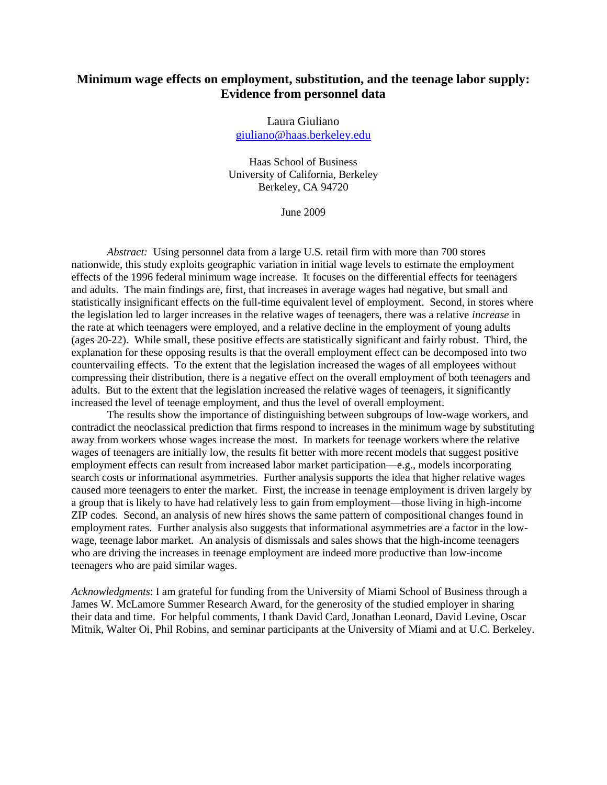# **Minimum wage effects on employment, substitution, and the teenage labor supply: Evidence from personnel data**

Laura Giuliano [giuliano@haas.berkeley.edu](mailto:giuliano@haas.berkeley.edu)

Haas School of Business University of California, Berkeley Berkeley, CA 94720

June 2009

*Abstract:* Using personnel data from a large U.S. retail firm with more than 700 stores nationwide, this study exploits geographic variation in initial wage levels to estimate the employment effects of the 1996 federal minimum wage increase. It focuses on the differential effects for teenagers and adults. The main findings are, first*,* that increases in average wages had negative, but small and statistically insignificant effects on the full-time equivalent level of employment. Second, in stores where the legislation led to larger increases in the relative wages of teenagers, there was a relative *increase* in the rate at which teenagers were employed, and a relative decline in the employment of young adults (ages 20-22). While small, these positive effects are statistically significant and fairly robust. Third, the explanation for these opposing results is that the overall employment effect can be decomposed into two countervailing effects. To the extent that the legislation increased the wages of all employees without compressing their distribution, there is a negative effect on the overall employment of both teenagers and adults. But to the extent that the legislation increased the relative wages of teenagers, it significantly increased the level of teenage employment, and thus the level of overall employment.

The results show the importance of distinguishing between subgroups of low-wage workers, and contradict the neoclassical prediction that firms respond to increases in the minimum wage by substituting away from workers whose wages increase the most. In markets for teenage workers where the relative wages of teenagers are initially low, the results fit better with more recent models that suggest positive employment effects can result from increased labor market participation—e.g., models incorporating search costs or informational asymmetries. Further analysis supports the idea that higher relative wages caused more teenagers to enter the market. First, the increase in teenage employment is driven largely by a group that is likely to have had relatively less to gain from employment—those living in high-income ZIP codes. Second, an analysis of new hires shows the same pattern of compositional changes found in employment rates. Further analysis also suggests that informational asymmetries are a factor in the lowwage, teenage labor market. An analysis of dismissals and sales shows that the high-income teenagers who are driving the increases in teenage employment are indeed more productive than low-income teenagers who are paid similar wages.

*Acknowledgments*: I am grateful for funding from the University of Miami School of Business through a James W. McLamore Summer Research Award, for the generosity of the studied employer in sharing their data and time. For helpful comments, I thank David Card, Jonathan Leonard, David Levine, Oscar Mitnik, Walter Oi, Phil Robins, and seminar participants at the University of Miami and at U.C. Berkeley.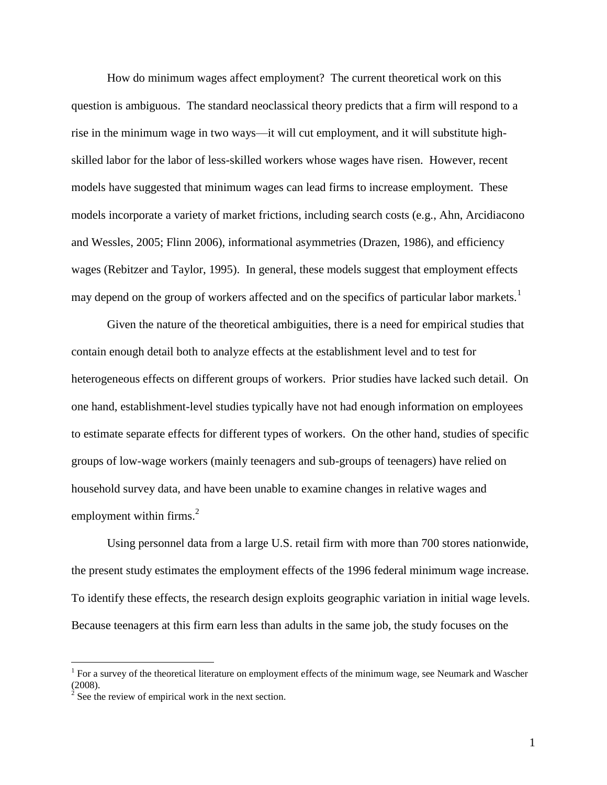How do minimum wages affect employment? The current theoretical work on this question is ambiguous. The standard neoclassical theory predicts that a firm will respond to a rise in the minimum wage in two ways—it will cut employment, and it will substitute highskilled labor for the labor of less-skilled workers whose wages have risen. However, recent models have suggested that minimum wages can lead firms to increase employment. These models incorporate a variety of market frictions, including search costs (e.g., Ahn, Arcidiacono and Wessles, 2005; Flinn 2006), informational asymmetries (Drazen, 1986), and efficiency wages (Rebitzer and Taylor, 1995). In general, these models suggest that employment effects may depend on the group of workers affected and on the specifics of particular labor markets.<sup>1</sup>

Given the nature of the theoretical ambiguities, there is a need for empirical studies that contain enough detail both to analyze effects at the establishment level and to test for heterogeneous effects on different groups of workers. Prior studies have lacked such detail. On one hand, establishment-level studies typically have not had enough information on employees to estimate separate effects for different types of workers. On the other hand, studies of specific groups of low-wage workers (mainly teenagers and sub-groups of teenagers) have relied on household survey data, and have been unable to examine changes in relative wages and employment within firms. $2$ 

Using personnel data from a large U.S. retail firm with more than 700 stores nationwide, the present study estimates the employment effects of the 1996 federal minimum wage increase. To identify these effects, the research design exploits geographic variation in initial wage levels. Because teenagers at this firm earn less than adults in the same job, the study focuses on the

<sup>&</sup>lt;sup>1</sup> For a survey of the theoretical literature on employment effects of the minimum wage, see Neumark and Wascher (2008).<br><sup>2</sup> See the review of empirical work in the next section.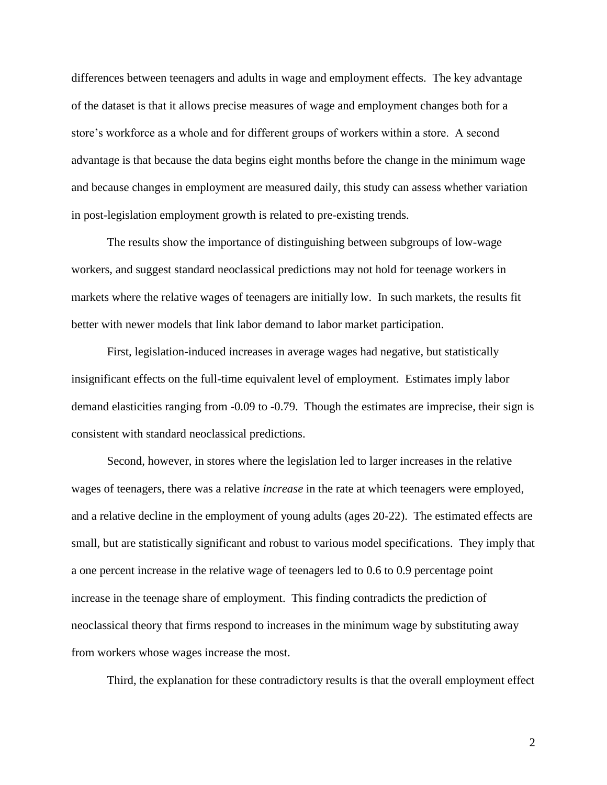differences between teenagers and adults in wage and employment effects. The key advantage of the dataset is that it allows precise measures of wage and employment changes both for a store's workforce as a whole and for different groups of workers within a store. A second advantage is that because the data begins eight months before the change in the minimum wage and because changes in employment are measured daily, this study can assess whether variation in post-legislation employment growth is related to pre-existing trends.

The results show the importance of distinguishing between subgroups of low-wage workers, and suggest standard neoclassical predictions may not hold for teenage workers in markets where the relative wages of teenagers are initially low. In such markets, the results fit better with newer models that link labor demand to labor market participation.

First*,* legislation-induced increases in average wages had negative, but statistically insignificant effects on the full-time equivalent level of employment. Estimates imply labor demand elasticities ranging from -0.09 to -0.79. Though the estimates are imprecise, their sign is consistent with standard neoclassical predictions.

Second, however, in stores where the legislation led to larger increases in the relative wages of teenagers, there was a relative *increase* in the rate at which teenagers were employed, and a relative decline in the employment of young adults (ages 20-22). The estimated effects are small, but are statistically significant and robust to various model specifications. They imply that a one percent increase in the relative wage of teenagers led to 0.6 to 0.9 percentage point increase in the teenage share of employment. This finding contradicts the prediction of neoclassical theory that firms respond to increases in the minimum wage by substituting away from workers whose wages increase the most.

Third, the explanation for these contradictory results is that the overall employment effect

2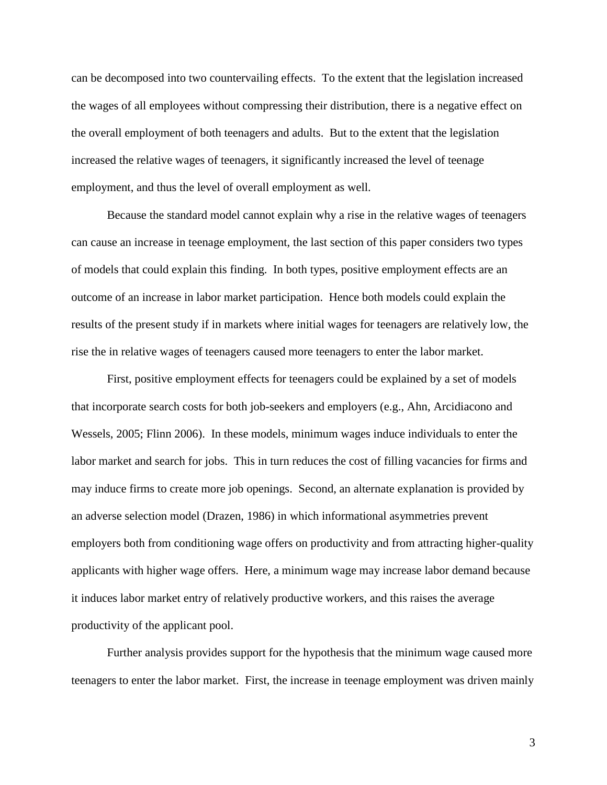can be decomposed into two countervailing effects. To the extent that the legislation increased the wages of all employees without compressing their distribution, there is a negative effect on the overall employment of both teenagers and adults. But to the extent that the legislation increased the relative wages of teenagers, it significantly increased the level of teenage employment, and thus the level of overall employment as well.

Because the standard model cannot explain why a rise in the relative wages of teenagers can cause an increase in teenage employment, the last section of this paper considers two types of models that could explain this finding. In both types, positive employment effects are an outcome of an increase in labor market participation. Hence both models could explain the results of the present study if in markets where initial wages for teenagers are relatively low, the rise the in relative wages of teenagers caused more teenagers to enter the labor market.

First, positive employment effects for teenagers could be explained by a set of models that incorporate search costs for both job-seekers and employers (e.g., Ahn, Arcidiacono and Wessels, 2005; Flinn 2006). In these models, minimum wages induce individuals to enter the labor market and search for jobs. This in turn reduces the cost of filling vacancies for firms and may induce firms to create more job openings. Second, an alternate explanation is provided by an adverse selection model (Drazen, 1986) in which informational asymmetries prevent employers both from conditioning wage offers on productivity and from attracting higher-quality applicants with higher wage offers. Here, a minimum wage may increase labor demand because it induces labor market entry of relatively productive workers, and this raises the average productivity of the applicant pool.

Further analysis provides support for the hypothesis that the minimum wage caused more teenagers to enter the labor market. First, the increase in teenage employment was driven mainly

3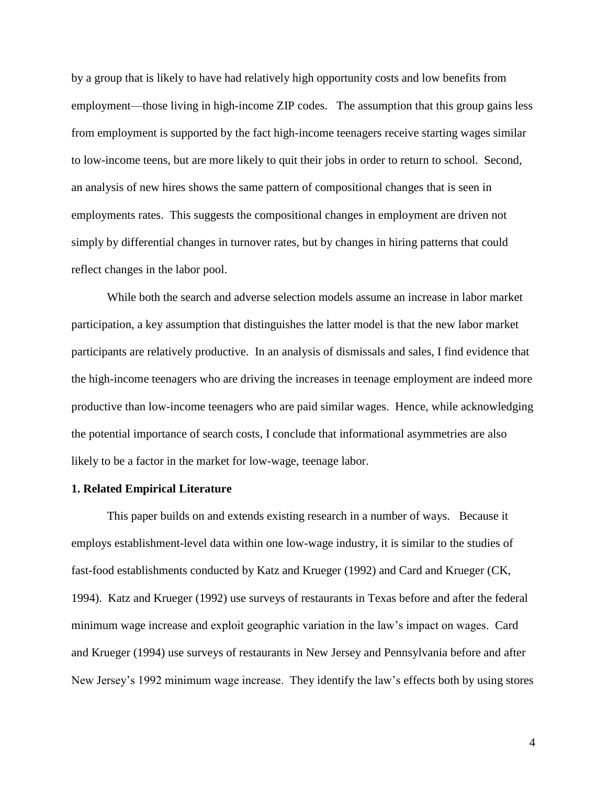by a group that is likely to have had relatively high opportunity costs and low benefits from employment—those living in high-income ZIP codes. The assumption that this group gains less from employment is supported by the fact high-income teenagers receive starting wages similar to low-income teens, but are more likely to quit their jobs in order to return to school. Second, an analysis of new hires shows the same pattern of compositional changes that is seen in employments rates. This suggests the compositional changes in employment are driven not simply by differential changes in turnover rates, but by changes in hiring patterns that could reflect changes in the labor pool.

While both the search and adverse selection models assume an increase in labor market participation, a key assumption that distinguishes the latter model is that the new labor market participants are relatively productive. In an analysis of dismissals and sales, I find evidence that the high-income teenagers who are driving the increases in teenage employment are indeed more productive than low-income teenagers who are paid similar wages. Hence, while acknowledging the potential importance of search costs, I conclude that informational asymmetries are also likely to be a factor in the market for low-wage, teenage labor.

### **1. Related Empirical Literature**

This paper builds on and extends existing research in a number of ways. Because it employs establishment-level data within one low-wage industry, it is similar to the studies of fast-food establishments conducted by Katz and Krueger (1992) and Card and Krueger (CK, 1994). Katz and Krueger (1992) use surveys of restaurants in Texas before and after the federal minimum wage increase and exploit geographic variation in the law's impact on wages. Card and Krueger (1994) use surveys of restaurants in New Jersey and Pennsylvania before and after New Jersey's 1992 minimum wage increase. They identify the law's effects both by using stores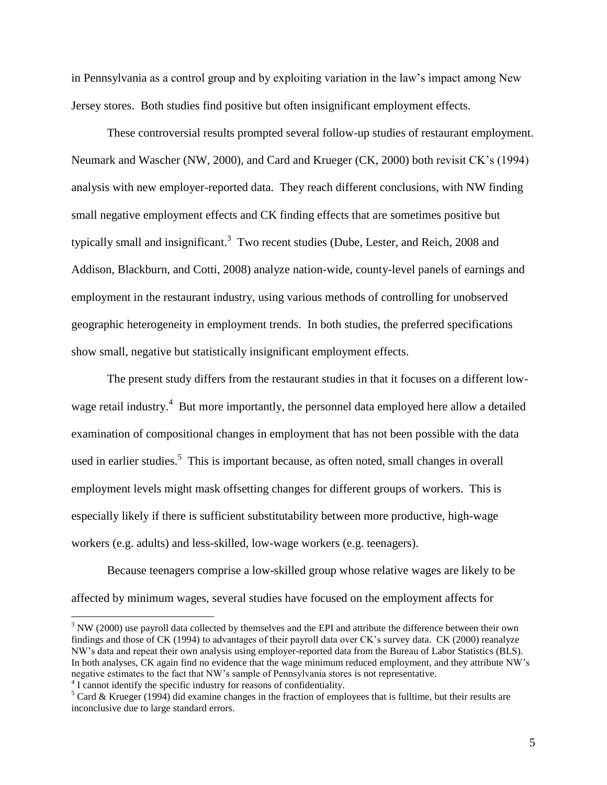in Pennsylvania as a control group and by exploiting variation in the law's impact among New Jersey stores. Both studies find positive but often insignificant employment effects.

These controversial results prompted several follow-up studies of restaurant employment. Neumark and Wascher (NW, 2000), and Card and Krueger (CK, 2000) both revisit CK's (1994) analysis with new employer-reported data. They reach different conclusions, with NW finding small negative employment effects and CK finding effects that are sometimes positive but typically small and insignificant.<sup>3</sup> Two recent studies (Dube, Lester, and Reich, 2008 and Addison, Blackburn, and Cotti, 2008) analyze nation-wide, county-level panels of earnings and employment in the restaurant industry, using various methods of controlling for unobserved geographic heterogeneity in employment trends. In both studies, the preferred specifications show small, negative but statistically insignificant employment effects.

The present study differs from the restaurant studies in that it focuses on a different lowwage retail industry.<sup>4</sup> But more importantly, the personnel data employed here allow a detailed examination of compositional changes in employment that has not been possible with the data used in earlier studies.<sup>5</sup> This is important because, as often noted, small changes in overall employment levels might mask offsetting changes for different groups of workers. This is especially likely if there is sufficient substitutability between more productive, high-wage workers (e.g. adults) and less-skilled, low-wage workers (e.g. teenagers).

Because teenagers comprise a low-skilled group whose relative wages are likely to be affected by minimum wages, several studies have focused on the employment affects for

<sup>&</sup>lt;sup>3</sup> NW (2000) use payroll data collected by themselves and the EPI and attribute the difference between their own findings and those of CK (1994) to advantages of their payroll data over CK's survey data. CK (2000) reanalyze NW's data and repeat their own analysis using employer-reported data from the Bureau of Labor Statistics (BLS). In both analyses, CK again find no evidence that the wage minimum reduced employment, and they attribute NW's negative estimates to the fact that NW's sample of Pennsylvania stores is not representative.

<sup>&</sup>lt;sup>4</sup> I cannot identify the specific industry for reasons of confidentiality.

 $5$  Card & Krueger (1994) did examine changes in the fraction of employees that is fulltime, but their results are inconclusive due to large standard errors.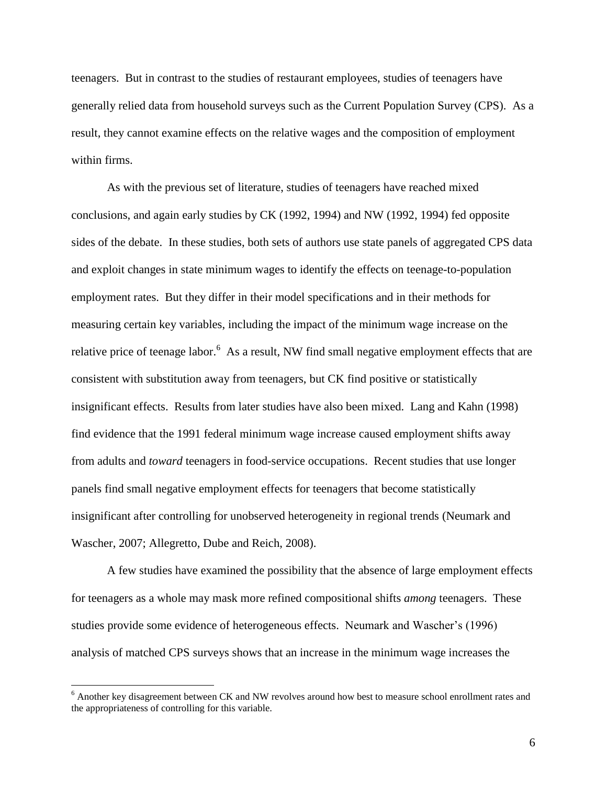teenagers. But in contrast to the studies of restaurant employees, studies of teenagers have generally relied data from household surveys such as the Current Population Survey (CPS). As a result, they cannot examine effects on the relative wages and the composition of employment within firms.

As with the previous set of literature, studies of teenagers have reached mixed conclusions, and again early studies by CK (1992, 1994) and NW (1992, 1994) fed opposite sides of the debate. In these studies, both sets of authors use state panels of aggregated CPS data and exploit changes in state minimum wages to identify the effects on teenage-to-population employment rates. But they differ in their model specifications and in their methods for measuring certain key variables, including the impact of the minimum wage increase on the relative price of teenage labor.<sup>6</sup> As a result, NW find small negative employment effects that are consistent with substitution away from teenagers, but CK find positive or statistically insignificant effects. Results from later studies have also been mixed. Lang and Kahn (1998) find evidence that the 1991 federal minimum wage increase caused employment shifts away from adults and *toward* teenagers in food-service occupations. Recent studies that use longer panels find small negative employment effects for teenagers that become statistically insignificant after controlling for unobserved heterogeneity in regional trends (Neumark and Wascher, 2007; Allegretto, Dube and Reich, 2008).

A few studies have examined the possibility that the absence of large employment effects for teenagers as a whole may mask more refined compositional shifts *among* teenagers. These studies provide some evidence of heterogeneous effects. Neumark and Wascher's (1996) analysis of matched CPS surveys shows that an increase in the minimum wage increases the

<sup>6</sup> Another key disagreement between CK and NW revolves around how best to measure school enrollment rates and the appropriateness of controlling for this variable.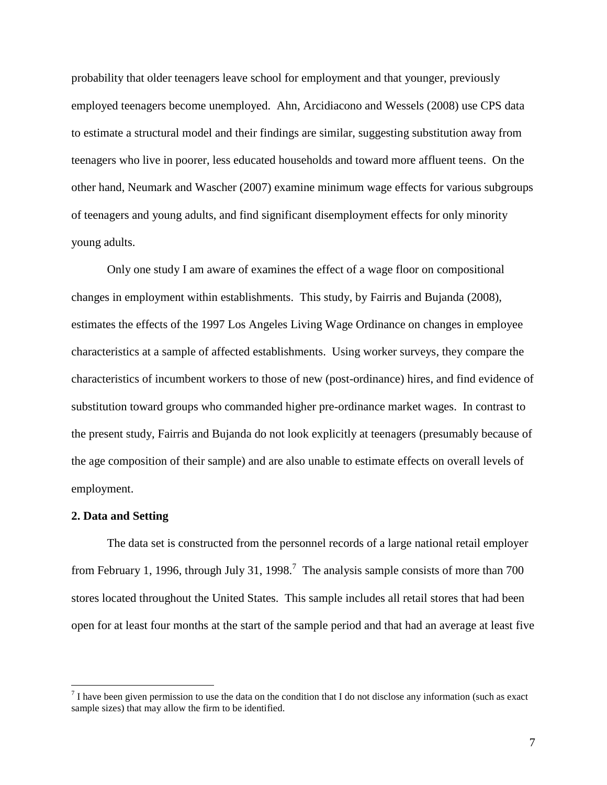probability that older teenagers leave school for employment and that younger, previously employed teenagers become unemployed. Ahn, Arcidiacono and Wessels (2008) use CPS data to estimate a structural model and their findings are similar, suggesting substitution away from teenagers who live in poorer, less educated households and toward more affluent teens. On the other hand, Neumark and Wascher (2007) examine minimum wage effects for various subgroups of teenagers and young adults, and find significant disemployment effects for only minority young adults.

Only one study I am aware of examines the effect of a wage floor on compositional changes in employment within establishments. This study, by Fairris and Bujanda (2008), estimates the effects of the 1997 Los Angeles Living Wage Ordinance on changes in employee characteristics at a sample of affected establishments. Using worker surveys, they compare the characteristics of incumbent workers to those of new (post-ordinance) hires, and find evidence of substitution toward groups who commanded higher pre-ordinance market wages. In contrast to the present study, Fairris and Bujanda do not look explicitly at teenagers (presumably because of the age composition of their sample) and are also unable to estimate effects on overall levels of employment.

### **2. Data and Setting**

 $\overline{a}$ 

The data set is constructed from the personnel records of a large national retail employer from February 1, 1996, through July 31, 1998.<sup>7</sup> The analysis sample consists of more than 700 stores located throughout the United States. This sample includes all retail stores that had been open for at least four months at the start of the sample period and that had an average at least five

 $<sup>7</sup>$  I have been given permission to use the data on the condition that I do not disclose any information (such as exact</sup> sample sizes) that may allow the firm to be identified.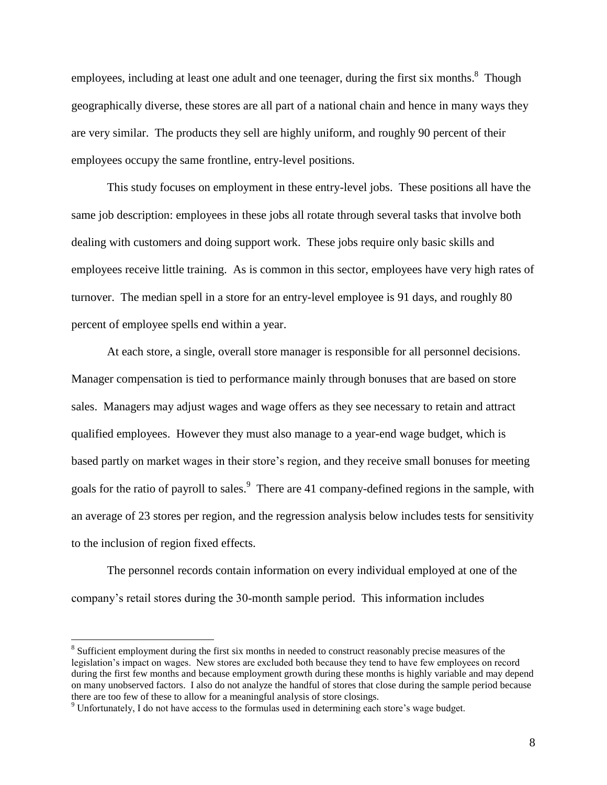employees, including at least one adult and one teenager, during the first six months.<sup>8</sup> Though geographically diverse, these stores are all part of a national chain and hence in many ways they are very similar. The products they sell are highly uniform, and roughly 90 percent of their employees occupy the same frontline, entry-level positions.

This study focuses on employment in these entry-level jobs. These positions all have the same job description: employees in these jobs all rotate through several tasks that involve both dealing with customers and doing support work. These jobs require only basic skills and employees receive little training. As is common in this sector, employees have very high rates of turnover. The median spell in a store for an entry-level employee is 91 days, and roughly 80 percent of employee spells end within a year.

At each store, a single, overall store manager is responsible for all personnel decisions. Manager compensation is tied to performance mainly through bonuses that are based on store sales. Managers may adjust wages and wage offers as they see necessary to retain and attract qualified employees. However they must also manage to a year-end wage budget, which is based partly on market wages in their store's region, and they receive small bonuses for meeting goals for the ratio of payroll to sales.<sup>9</sup> There are 41 company-defined regions in the sample, with an average of 23 stores per region, and the regression analysis below includes tests for sensitivity to the inclusion of region fixed effects.

The personnel records contain information on every individual employed at one of the company's retail stores during the 30-month sample period. This information includes

<sup>&</sup>lt;sup>8</sup> Sufficient employment during the first six months in needed to construct reasonably precise measures of the legislation's impact on wages. New stores are excluded both because they tend to have few employees on record during the first few months and because employment growth during these months is highly variable and may depend on many unobserved factors. I also do not analyze the handful of stores that close during the sample period because there are too few of these to allow for a meaningful analysis of store closings.

<sup>9</sup> Unfortunately, I do not have access to the formulas used in determining each store's wage budget.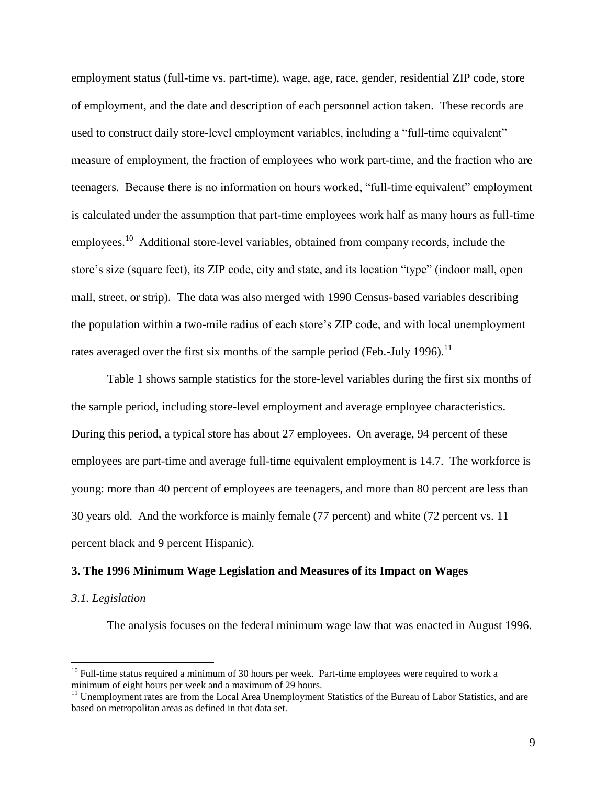employment status (full-time vs. part-time), wage, age, race, gender, residential ZIP code, store of employment, and the date and description of each personnel action taken. These records are used to construct daily store-level employment variables, including a "full-time equivalent" measure of employment, the fraction of employees who work part-time, and the fraction who are teenagers. Because there is no information on hours worked, "full-time equivalent" employment is calculated under the assumption that part-time employees work half as many hours as full-time employees.<sup>10</sup> Additional store-level variables, obtained from company records, include the store's size (square feet), its ZIP code, city and state, and its location "type" (indoor mall, open mall, street, or strip). The data was also merged with 1990 Census-based variables describing the population within a two-mile radius of each store's ZIP code, and with local unemployment rates averaged over the first six months of the sample period (Feb.-July 1996).<sup>11</sup>

Table 1 shows sample statistics for the store-level variables during the first six months of the sample period, including store-level employment and average employee characteristics. During this period, a typical store has about 27 employees. On average, 94 percent of these employees are part-time and average full-time equivalent employment is 14.7. The workforce is young: more than 40 percent of employees are teenagers, and more than 80 percent are less than 30 years old. And the workforce is mainly female (77 percent) and white (72 percent vs. 11 percent black and 9 percent Hispanic).

### **3. The 1996 Minimum Wage Legislation and Measures of its Impact on Wages**

### *3.1. Legislation*

 $\overline{a}$ 

The analysis focuses on the federal minimum wage law that was enacted in August 1996.

 $10$  Full-time status required a minimum of 30 hours per week. Part-time employees were required to work a minimum of eight hours per week and a maximum of 29 hours.

<sup>&</sup>lt;sup>11</sup> Unemployment rates are from the Local Area Unemployment Statistics of the Bureau of Labor Statistics, and are based on metropolitan areas as defined in that data set.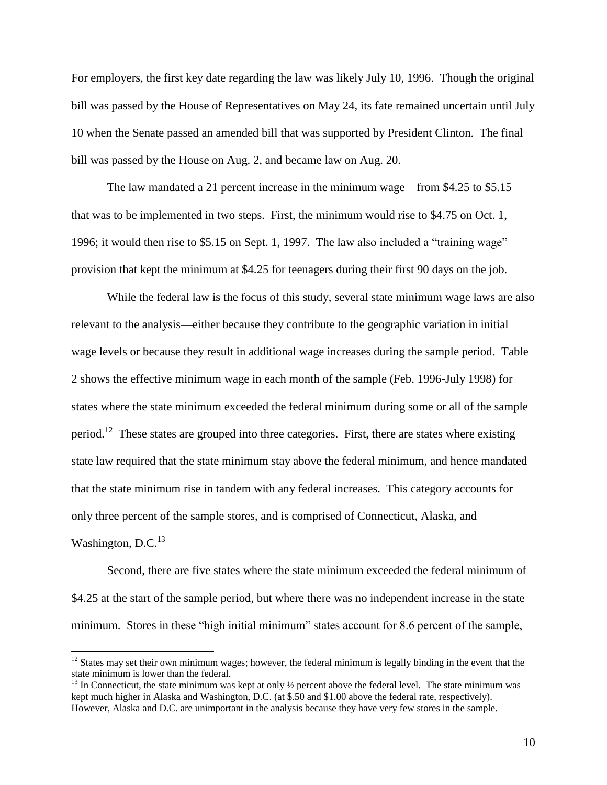For employers, the first key date regarding the law was likely July 10, 1996. Though the original bill was passed by the House of Representatives on May 24, its fate remained uncertain until July 10 when the Senate passed an amended bill that was supported by President Clinton. The final bill was passed by the House on Aug. 2, and became law on Aug. 20.

The law mandated a 21 percent increase in the minimum wage—from \$4.25 to \$5.15 that was to be implemented in two steps. First, the minimum would rise to \$4.75 on Oct. 1, 1996; it would then rise to \$5.15 on Sept. 1, 1997. The law also included a "training wage" provision that kept the minimum at \$4.25 for teenagers during their first 90 days on the job.

While the federal law is the focus of this study, several state minimum wage laws are also relevant to the analysis—either because they contribute to the geographic variation in initial wage levels or because they result in additional wage increases during the sample period. Table 2 shows the effective minimum wage in each month of the sample (Feb. 1996-July 1998) for states where the state minimum exceeded the federal minimum during some or all of the sample period.<sup>12</sup> These states are grouped into three categories. First, there are states where existing state law required that the state minimum stay above the federal minimum, and hence mandated that the state minimum rise in tandem with any federal increases. This category accounts for only three percent of the sample stores, and is comprised of Connecticut, Alaska, and Washington,  $D.C.<sup>13</sup>$ 

Second, there are five states where the state minimum exceeded the federal minimum of \$4.25 at the start of the sample period, but where there was no independent increase in the state minimum. Stores in these "high initial minimum" states account for 8.6 percent of the sample,

 $12$  States may set their own minimum wages; however, the federal minimum is legally binding in the event that the state minimum is lower than the federal.

 $13$  In Connecticut, the state minimum was kept at only  $\frac{1}{2}$  percent above the federal level. The state minimum was kept much higher in Alaska and Washington, D.C. (at \$.50 and \$1.00 above the federal rate, respectively). However, Alaska and D.C. are unimportant in the analysis because they have very few stores in the sample.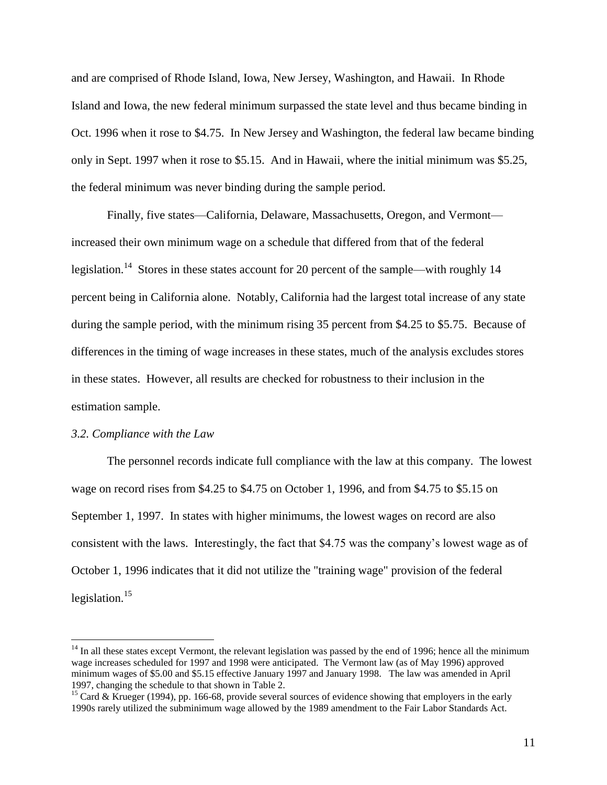and are comprised of Rhode Island, Iowa, New Jersey, Washington, and Hawaii. In Rhode Island and Iowa, the new federal minimum surpassed the state level and thus became binding in Oct. 1996 when it rose to \$4.75. In New Jersey and Washington, the federal law became binding only in Sept. 1997 when it rose to \$5.15. And in Hawaii, where the initial minimum was \$5.25, the federal minimum was never binding during the sample period.

Finally, five states—California, Delaware, Massachusetts, Oregon, and Vermont increased their own minimum wage on a schedule that differed from that of the federal legislation.<sup>14</sup> Stores in these states account for 20 percent of the sample—with roughly 14 percent being in California alone. Notably, California had the largest total increase of any state during the sample period, with the minimum rising 35 percent from \$4.25 to \$5.75. Because of differences in the timing of wage increases in these states, much of the analysis excludes stores in these states. However, all results are checked for robustness to their inclusion in the estimation sample.

### *3.2. Compliance with the Law*

 $\overline{a}$ 

The personnel records indicate full compliance with the law at this company. The lowest wage on record rises from \$4.25 to \$4.75 on October 1, 1996, and from \$4.75 to \$5.15 on September 1, 1997. In states with higher minimums, the lowest wages on record are also consistent with the laws. Interestingly, the fact that \$4.75 was the company's lowest wage as of October 1, 1996 indicates that it did not utilize the "training wage" provision of the federal legislation.<sup>15</sup>

 $14$  In all these states except Vermont, the relevant legislation was passed by the end of 1996; hence all the minimum wage increases scheduled for 1997 and 1998 were anticipated. The Vermont law (as of May 1996) approved minimum wages of \$5.00 and \$5.15 effective January 1997 and January 1998. The law was amended in April 1997, changing the schedule to that shown in Table 2.

<sup>&</sup>lt;sup>15</sup> Card & Krueger (1994), pp. 166-68, provide several sources of evidence showing that employers in the early 1990s rarely utilized the subminimum wage allowed by the 1989 amendment to the Fair Labor Standards Act.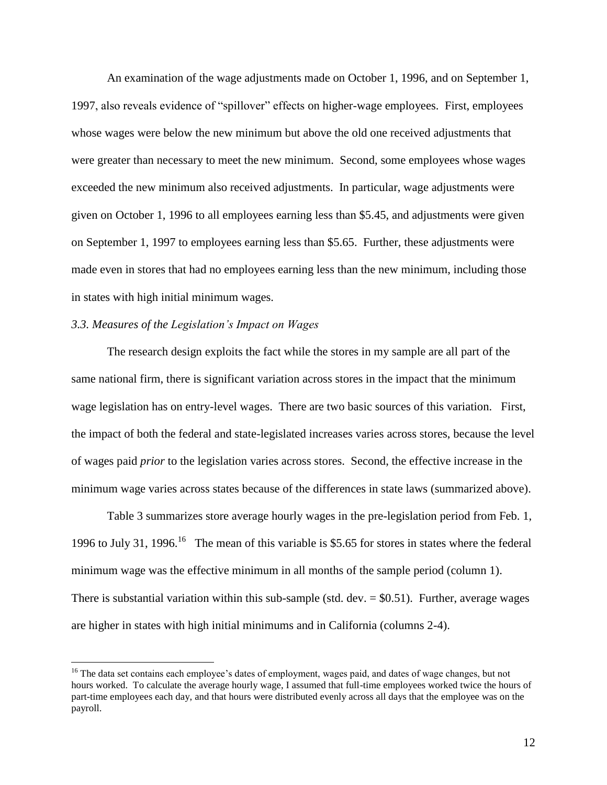An examination of the wage adjustments made on October 1, 1996, and on September 1, 1997, also reveals evidence of "spillover" effects on higher-wage employees. First, employees whose wages were below the new minimum but above the old one received adjustments that were greater than necessary to meet the new minimum. Second, some employees whose wages exceeded the new minimum also received adjustments. In particular, wage adjustments were given on October 1, 1996 to all employees earning less than \$5.45, and adjustments were given on September 1, 1997 to employees earning less than \$5.65. Further, these adjustments were made even in stores that had no employees earning less than the new minimum, including those in states with high initial minimum wages.

# *3.3. Measures of the Legislation's Impact on Wages*

 $\overline{a}$ 

The research design exploits the fact while the stores in my sample are all part of the same national firm, there is significant variation across stores in the impact that the minimum wage legislation has on entry-level wages. There are two basic sources of this variation. First, the impact of both the federal and state-legislated increases varies across stores, because the level of wages paid *prior* to the legislation varies across stores. Second, the effective increase in the minimum wage varies across states because of the differences in state laws (summarized above).

Table 3 summarizes store average hourly wages in the pre-legislation period from Feb. 1, 1996 to July 31, 1996.<sup>16</sup> The mean of this variable is \$5.65 for stores in states where the federal minimum wage was the effective minimum in all months of the sample period (column 1). There is substantial variation within this sub-sample (std.  $dev = $0.51$ ). Further, average wages are higher in states with high initial minimums and in California (columns 2-4).

<sup>&</sup>lt;sup>16</sup> The data set contains each employee's dates of employment, wages paid, and dates of wage changes, but not hours worked. To calculate the average hourly wage, I assumed that full-time employees worked twice the hours of part-time employees each day, and that hours were distributed evenly across all days that the employee was on the payroll.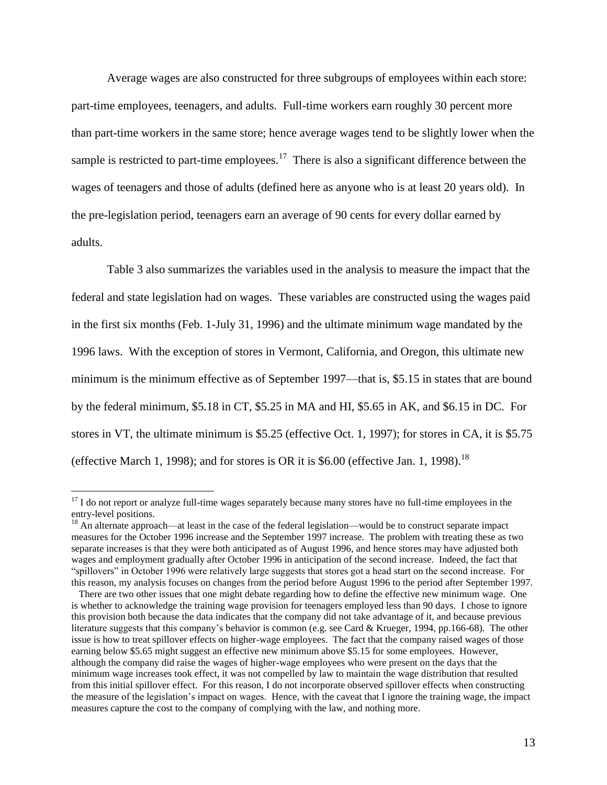Average wages are also constructed for three subgroups of employees within each store: part-time employees, teenagers, and adults. Full-time workers earn roughly 30 percent more than part-time workers in the same store; hence average wages tend to be slightly lower when the sample is restricted to part-time employees.<sup>17</sup> There is also a significant difference between the wages of teenagers and those of adults (defined here as anyone who is at least 20 years old). In the pre-legislation period, teenagers earn an average of 90 cents for every dollar earned by adults.

Table 3 also summarizes the variables used in the analysis to measure the impact that the federal and state legislation had on wages. These variables are constructed using the wages paid in the first six months (Feb. 1-July 31, 1996) and the ultimate minimum wage mandated by the 1996 laws. With the exception of stores in Vermont, California, and Oregon, this ultimate new minimum is the minimum effective as of September 1997—that is, \$5.15 in states that are bound by the federal minimum, \$5.18 in CT, \$5.25 in MA and HI, \$5.65 in AK, and \$6.15 in DC. For stores in VT, the ultimate minimum is \$5.25 (effective Oct. 1, 1997); for stores in CA, it is \$5.75 (effective March 1, 1998); and for stores is OR it is  $$6.00$  (effective Jan. 1, 1998).<sup>18</sup>

<sup>&</sup>lt;sup>17</sup> I do not report or analyze full-time wages separately because many stores have no full-time employees in the entry-level positions.

<sup>&</sup>lt;sup>18</sup> An alternate approach—at least in the case of the federal legislation—would be to construct separate impact measures for the October 1996 increase and the September 1997 increase. The problem with treating these as two separate increases is that they were both anticipated as of August 1996, and hence stores may have adjusted both wages and employment gradually after October 1996 in anticipation of the second increase. Indeed, the fact that "spillovers" in October 1996 were relatively large suggests that stores got a head start on the second increase. For this reason, my analysis focuses on changes from the period before August 1996 to the period after September 1997.

There are two other issues that one might debate regarding how to define the effective new minimum wage. One is whether to acknowledge the training wage provision for teenagers employed less than 90 days. I chose to ignore this provision both because the data indicates that the company did not take advantage of it, and because previous literature suggests that this company's behavior is common (e.g. see Card & Krueger, 1994, pp.166-68). The other issue is how to treat spillover effects on higher-wage employees. The fact that the company raised wages of those earning below \$5.65 might suggest an effective new minimum above \$5.15 for some employees. However, although the company did raise the wages of higher-wage employees who were present on the days that the minimum wage increases took effect, it was not compelled by law to maintain the wage distribution that resulted from this initial spillover effect. For this reason, I do not incorporate observed spillover effects when constructing the measure of the legislation's impact on wages. Hence, with the caveat that I ignore the training wage, the impact measures capture the cost to the company of complying with the law, and nothing more.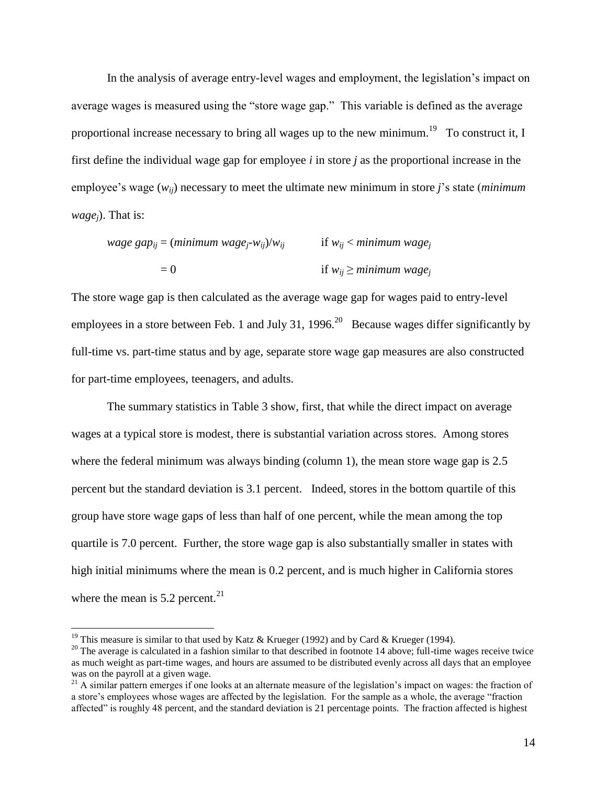In the analysis of average entry-level wages and employment, the legislation's impact on average wages is measured using the "store wage gap." This variable is defined as the average proportional increase necessary to bring all wages up to the new minimum.<sup>19</sup> To construct it, I first define the individual wage gap for employee *i* in store *j* as the proportional increase in the employee's wage (*wij*) necessary to meet the ultimate new minimum in store *j*'s state (*minimum wagej*). That is:

wage gap<sub>ij</sub> = (minimum wage<sub>j</sub>-w<sub>ij</sub>)/w<sub>ij</sub>

\nif 
$$
w_{ij} < minimum wage_j
$$

\nif  $w_{ij} \geq minimum wage_j$ 

The store wage gap is then calculated as the average wage gap for wages paid to entry-level employees in a store between Feb. 1 and July 31, 1996.<sup>20</sup> Because wages differ significantly by full-time vs. part-time status and by age, separate store wage gap measures are also constructed for part-time employees, teenagers, and adults.

The summary statistics in Table 3 show, first, that while the direct impact on average wages at a typical store is modest, there is substantial variation across stores. Among stores where the federal minimum was always binding (column 1), the mean store wage gap is 2.5 percent but the standard deviation is 3.1 percent. Indeed, stores in the bottom quartile of this group have store wage gaps of less than half of one percent, while the mean among the top quartile is 7.0 percent. Further, the store wage gap is also substantially smaller in states with high initial minimums where the mean is 0.2 percent, and is much higher in California stores where the mean is  $5.2$  percent.<sup>21</sup>

<sup>&</sup>lt;sup>19</sup> This measure is similar to that used by Katz & Krueger (1992) and by Card & Krueger (1994).

 $20$  The average is calculated in a fashion similar to that described in footnote 14 above; full-time wages receive twice as much weight as part-time wages, and hours are assumed to be distributed evenly across all days that an employee was on the payroll at a given wage.

<sup>&</sup>lt;sup>21</sup> A similar pattern emerges if one looks at an alternate measure of the legislation's impact on wages: the fraction of a store's employees whose wages are affected by the legislation. For the sample as a whole, the average "fraction affected" is roughly 48 percent, and the standard deviation is 21 percentage points. The fraction affected is highest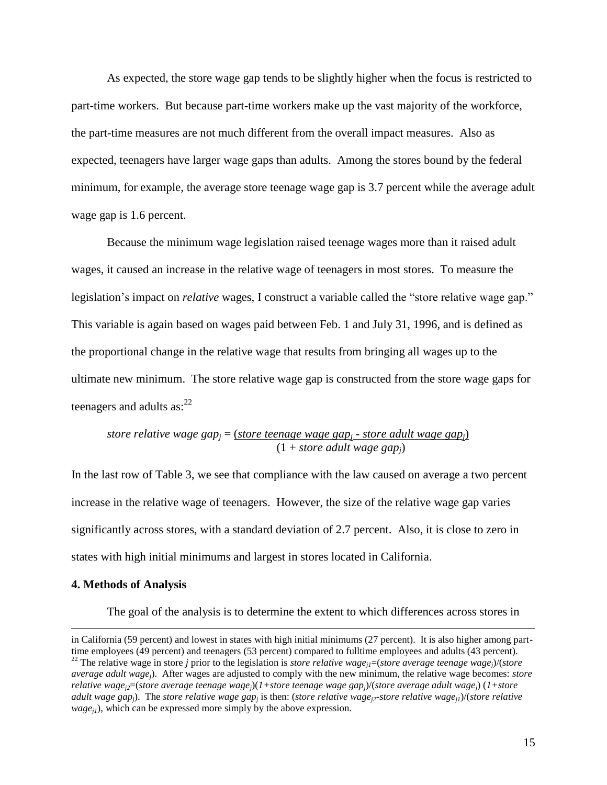As expected, the store wage gap tends to be slightly higher when the focus is restricted to part-time workers. But because part-time workers make up the vast majority of the workforce, the part-time measures are not much different from the overall impact measures. Also as expected, teenagers have larger wage gaps than adults. Among the stores bound by the federal minimum, for example, the average store teenage wage gap is 3.7 percent while the average adult wage gap is 1.6 percent.

Because the minimum wage legislation raised teenage wages more than it raised adult wages, it caused an increase in the relative wage of teenagers in most stores. To measure the legislation's impact on *relative* wages, I construct a variable called the "store relative wage gap." This variable is again based on wages paid between Feb. 1 and July 31, 1996, and is defined as the proportional change in the relative wage that results from bringing all wages up to the ultimate new minimum. The store relative wage gap is constructed from the store wage gaps for teenagers and adults  $as:^{22}$ 

*store relative wage gap<sup>j</sup>* = (*store teenage wage gap<sup>j</sup> - store adult wage gapj*) (1 + *store adult wage gapj*)

In the last row of Table 3, we see that compliance with the law caused on average a two percent increase in the relative wage of teenagers. However, the size of the relative wage gap varies significantly across stores, with a standard deviation of 2.7 percent. Also, it is close to zero in states with high initial minimums and largest in stores located in California.

### **4. Methods of Analysis**

 $\overline{a}$ 

The goal of the analysis is to determine the extent to which differences across stores in

in California (59 percent) and lowest in states with high initial minimums (27 percent). It is also higher among parttime employees (49 percent) and teenagers (53 percent) compared to fulltime employees and adults (43 percent). <sup>22</sup> The relative wage in store *j* prior to the legislation is *store relative wage*<sub>*il*</sub>=(*store average teenage wage*<sub>*j*</sub>)/(*store average adult wagej*). After wages are adjusted to comply with the new minimum, the relative wage becomes: *store relative wagej2*=(*store average teenage wagej*)(*1+store teenage wage gapj*)/(*store average adult wagej*) (*1+store adult wage gap<sub>j</sub>). The store relative wage gap<sub>j</sub> is then: (<i>store relative wage<sub>j2</sub>-store relative wage<sub>j1</sub>)/(store relative*  $wage_{ij}$ ), which can be expressed more simply by the above expression.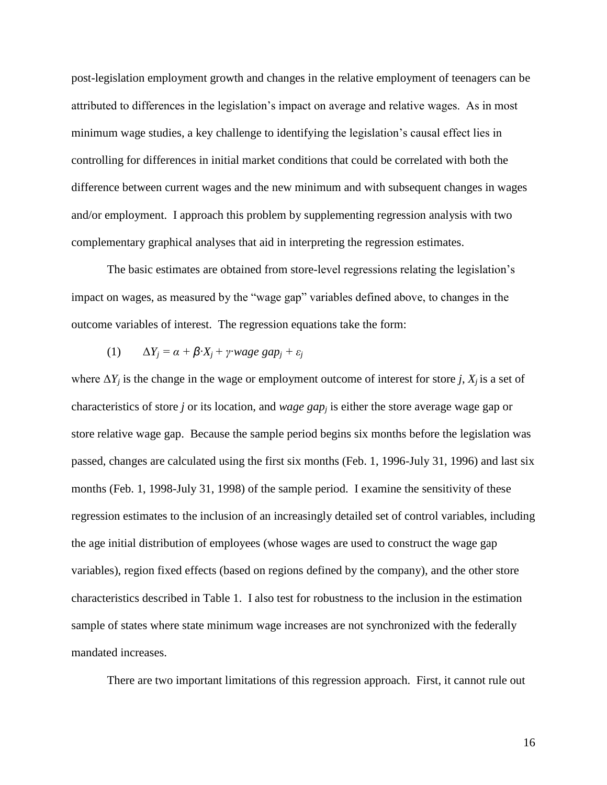post-legislation employment growth and changes in the relative employment of teenagers can be attributed to differences in the legislation's impact on average and relative wages. As in most minimum wage studies, a key challenge to identifying the legislation's causal effect lies in controlling for differences in initial market conditions that could be correlated with both the difference between current wages and the new minimum and with subsequent changes in wages and/or employment. I approach this problem by supplementing regression analysis with two complementary graphical analyses that aid in interpreting the regression estimates.

The basic estimates are obtained from store-level regressions relating the legislation's impact on wages, as measured by the "wage gap" variables defined above, to changes in the outcome variables of interest. The regression equations take the form:

(1) 
$$
\Delta Y_j = \alpha + \beta \cdot X_j + \gamma \cdot wage \; gap_j + \varepsilon_j
$$

where  $\Delta Y_i$  is the change in the wage or employment outcome of interest for store *j*,  $X_i$  is a set of characteristics of store *j* or its location, and *wage gap<sup>j</sup>* is either the store average wage gap or store relative wage gap. Because the sample period begins six months before the legislation was passed, changes are calculated using the first six months (Feb. 1, 1996-July 31, 1996) and last six months (Feb. 1, 1998-July 31, 1998) of the sample period. I examine the sensitivity of these regression estimates to the inclusion of an increasingly detailed set of control variables, including the age initial distribution of employees (whose wages are used to construct the wage gap variables), region fixed effects (based on regions defined by the company), and the other store characteristics described in Table 1. I also test for robustness to the inclusion in the estimation sample of states where state minimum wage increases are not synchronized with the federally mandated increases.

There are two important limitations of this regression approach. First, it cannot rule out

16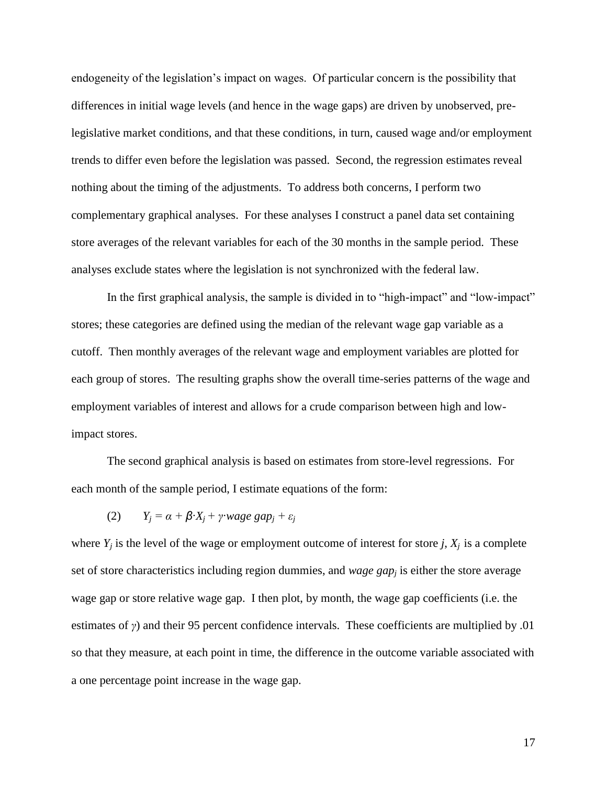endogeneity of the legislation's impact on wages. Of particular concern is the possibility that differences in initial wage levels (and hence in the wage gaps) are driven by unobserved, prelegislative market conditions, and that these conditions, in turn, caused wage and/or employment trends to differ even before the legislation was passed. Second, the regression estimates reveal nothing about the timing of the adjustments. To address both concerns, I perform two complementary graphical analyses. For these analyses I construct a panel data set containing store averages of the relevant variables for each of the 30 months in the sample period. These analyses exclude states where the legislation is not synchronized with the federal law.

In the first graphical analysis, the sample is divided in to "high-impact" and "low-impact" stores; these categories are defined using the median of the relevant wage gap variable as a cutoff. Then monthly averages of the relevant wage and employment variables are plotted for each group of stores. The resulting graphs show the overall time-series patterns of the wage and employment variables of interest and allows for a crude comparison between high and lowimpact stores.

The second graphical analysis is based on estimates from store-level regressions. For each month of the sample period, I estimate equations of the form:

(2) 
$$
Y_j = \alpha + \beta \cdot X_j + \gamma \cdot \text{wage gap}_j + \varepsilon_j
$$

where  $Y_i$  is the level of the wage or employment outcome of interest for store *j*,  $X_i$  is a complete set of store characteristics including region dummies, and *wage gap<sup>j</sup>* is either the store average wage gap or store relative wage gap. I then plot, by month, the wage gap coefficients (i.e. the estimates of *γ*) and their 95 percent confidence intervals. These coefficients are multiplied by .01 so that they measure, at each point in time, the difference in the outcome variable associated with a one percentage point increase in the wage gap.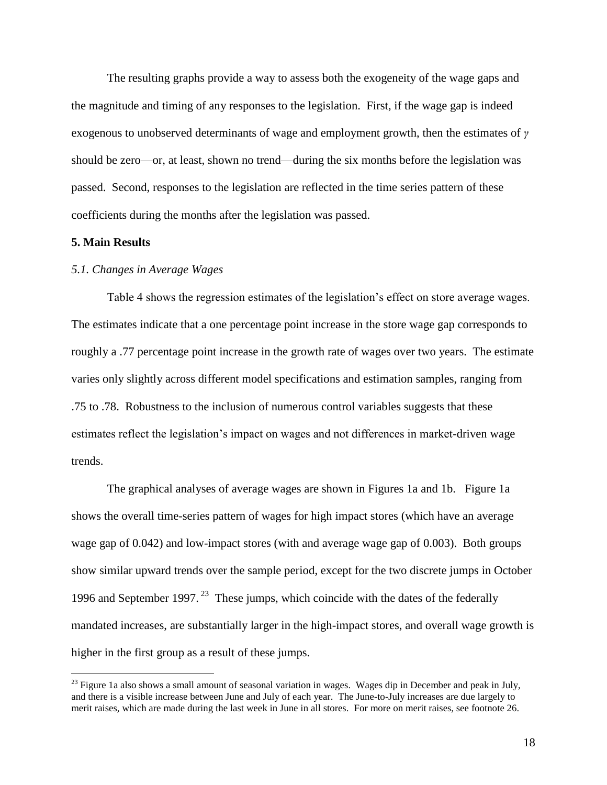The resulting graphs provide a way to assess both the exogeneity of the wage gaps and the magnitude and timing of any responses to the legislation. First, if the wage gap is indeed exogenous to unobserved determinants of wage and employment growth, then the estimates of *γ* should be zero—or, at least, shown no trend—during the six months before the legislation was passed. Second, responses to the legislation are reflected in the time series pattern of these coefficients during the months after the legislation was passed.

# **5. Main Results**

 $\overline{a}$ 

### *5.1. Changes in Average Wages*

Table 4 shows the regression estimates of the legislation's effect on store average wages. The estimates indicate that a one percentage point increase in the store wage gap corresponds to roughly a .77 percentage point increase in the growth rate of wages over two years. The estimate varies only slightly across different model specifications and estimation samples, ranging from .75 to .78. Robustness to the inclusion of numerous control variables suggests that these estimates reflect the legislation's impact on wages and not differences in market-driven wage trends.

The graphical analyses of average wages are shown in Figures 1a and 1b. Figure 1a shows the overall time-series pattern of wages for high impact stores (which have an average wage gap of 0.042) and low-impact stores (with and average wage gap of 0.003). Both groups show similar upward trends over the sample period, except for the two discrete jumps in October 1996 and September 1997.<sup>23</sup> These jumps, which coincide with the dates of the federally mandated increases, are substantially larger in the high-impact stores, and overall wage growth is higher in the first group as a result of these jumps.

 $^{23}$  Figure 1a also shows a small amount of seasonal variation in wages. Wages dip in December and peak in July, and there is a visible increase between June and July of each year. The June-to-July increases are due largely to merit raises, which are made during the last week in June in all stores. For more on merit raises, see footnote 26.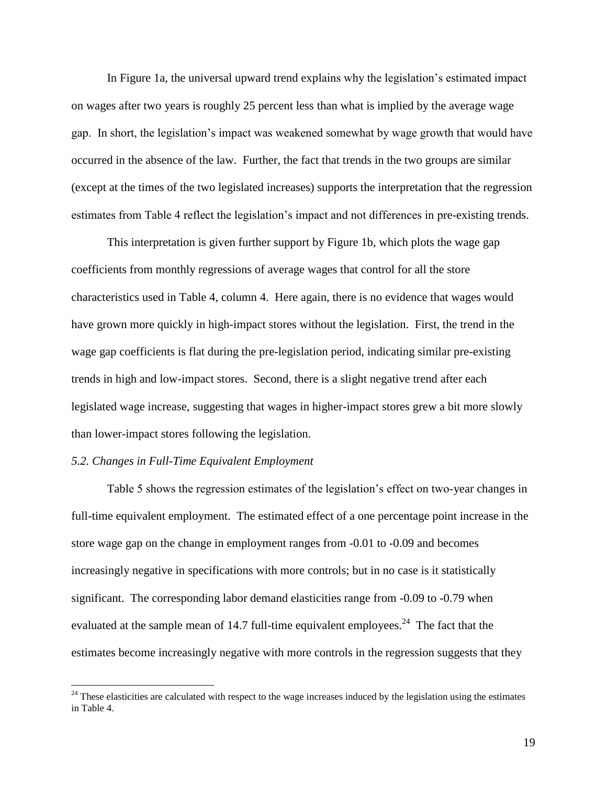In Figure 1a, the universal upward trend explains why the legislation's estimated impact on wages after two years is roughly 25 percent less than what is implied by the average wage gap. In short, the legislation's impact was weakened somewhat by wage growth that would have occurred in the absence of the law. Further, the fact that trends in the two groups are similar (except at the times of the two legislated increases) supports the interpretation that the regression estimates from Table 4 reflect the legislation's impact and not differences in pre-existing trends.

This interpretation is given further support by Figure 1b, which plots the wage gap coefficients from monthly regressions of average wages that control for all the store characteristics used in Table 4, column 4. Here again, there is no evidence that wages would have grown more quickly in high-impact stores without the legislation. First, the trend in the wage gap coefficients is flat during the pre-legislation period, indicating similar pre-existing trends in high and low-impact stores. Second, there is a slight negative trend after each legislated wage increase, suggesting that wages in higher-impact stores grew a bit more slowly than lower-impact stores following the legislation.

### *5.2. Changes in Full-Time Equivalent Employment*

 $\overline{a}$ 

Table 5 shows the regression estimates of the legislation's effect on two-year changes in full-time equivalent employment. The estimated effect of a one percentage point increase in the store wage gap on the change in employment ranges from -0.01 to -0.09 and becomes increasingly negative in specifications with more controls; but in no case is it statistically significant. The corresponding labor demand elasticities range from -0.09 to -0.79 when evaluated at the sample mean of 14.7 full-time equivalent employees.<sup>24</sup> The fact that the estimates become increasingly negative with more controls in the regression suggests that they

 $24$  These elasticities are calculated with respect to the wage increases induced by the legislation using the estimates in Table 4.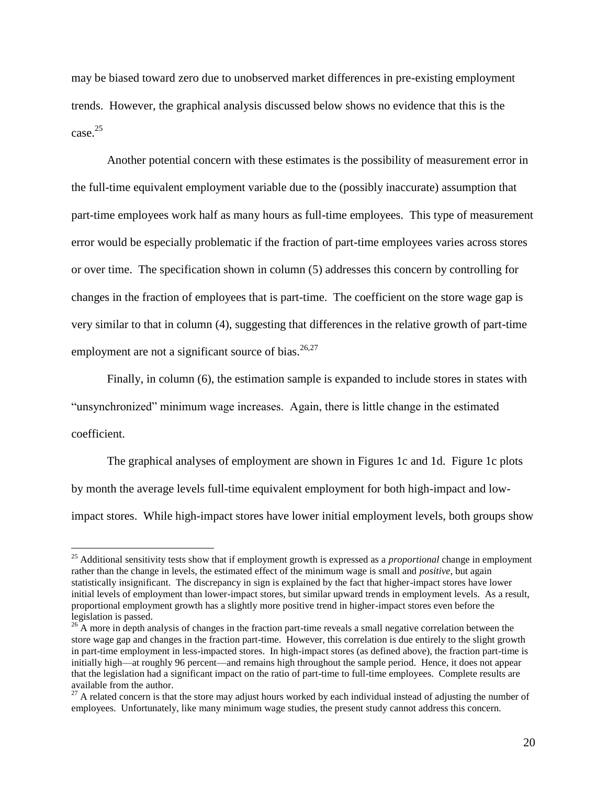may be biased toward zero due to unobserved market differences in pre-existing employment trends. However, the graphical analysis discussed below shows no evidence that this is the  $case.<sup>25</sup>$ 

Another potential concern with these estimates is the possibility of measurement error in the full-time equivalent employment variable due to the (possibly inaccurate) assumption that part-time employees work half as many hours as full-time employees. This type of measurement error would be especially problematic if the fraction of part-time employees varies across stores or over time. The specification shown in column (5) addresses this concern by controlling for changes in the fraction of employees that is part-time. The coefficient on the store wage gap is very similar to that in column (4), suggesting that differences in the relative growth of part-time employment are not a significant source of bias. $26,27$ 

Finally, in column (6), the estimation sample is expanded to include stores in states with "unsynchronized" minimum wage increases. Again, there is little change in the estimated coefficient.

The graphical analyses of employment are shown in Figures 1c and 1d. Figure 1c plots by month the average levels full-time equivalent employment for both high-impact and lowimpact stores. While high-impact stores have lower initial employment levels, both groups show

<sup>25</sup> Additional sensitivity tests show that if employment growth is expressed as a *proportional* change in employment rather than the change in levels, the estimated effect of the minimum wage is small and *positive*, but again statistically insignificant. The discrepancy in sign is explained by the fact that higher-impact stores have lower initial levels of employment than lower-impact stores, but similar upward trends in employment levels. As a result, proportional employment growth has a slightly more positive trend in higher-impact stores even before the legislation is passed.

 $^{26}$  A more in depth analysis of changes in the fraction part-time reveals a small negative correlation between the store wage gap and changes in the fraction part-time. However, this correlation is due entirely to the slight growth in part-time employment in less-impacted stores. In high-impact stores (as defined above), the fraction part-time is initially high—at roughly 96 percent—and remains high throughout the sample period. Hence, it does not appear that the legislation had a significant impact on the ratio of part-time to full-time employees. Complete results are available from the author.

 $27$  A related concern is that the store may adjust hours worked by each individual instead of adjusting the number of employees. Unfortunately, like many minimum wage studies, the present study cannot address this concern.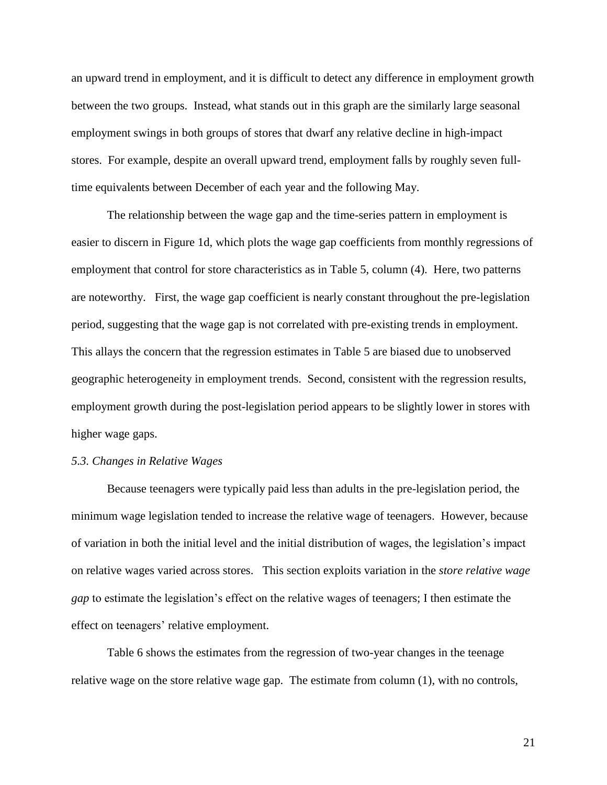an upward trend in employment, and it is difficult to detect any difference in employment growth between the two groups. Instead, what stands out in this graph are the similarly large seasonal employment swings in both groups of stores that dwarf any relative decline in high-impact stores. For example, despite an overall upward trend, employment falls by roughly seven fulltime equivalents between December of each year and the following May.

The relationship between the wage gap and the time-series pattern in employment is easier to discern in Figure 1d, which plots the wage gap coefficients from monthly regressions of employment that control for store characteristics as in Table 5, column (4). Here, two patterns are noteworthy. First, the wage gap coefficient is nearly constant throughout the pre-legislation period, suggesting that the wage gap is not correlated with pre-existing trends in employment. This allays the concern that the regression estimates in Table 5 are biased due to unobserved geographic heterogeneity in employment trends. Second, consistent with the regression results, employment growth during the post-legislation period appears to be slightly lower in stores with higher wage gaps.

### *5.3. Changes in Relative Wages*

Because teenagers were typically paid less than adults in the pre-legislation period, the minimum wage legislation tended to increase the relative wage of teenagers. However, because of variation in both the initial level and the initial distribution of wages, the legislation's impact on relative wages varied across stores. This section exploits variation in the *store relative wage gap* to estimate the legislation's effect on the relative wages of teenagers; I then estimate the effect on teenagers' relative employment.

Table 6 shows the estimates from the regression of two-year changes in the teenage relative wage on the store relative wage gap. The estimate from column (1), with no controls,

21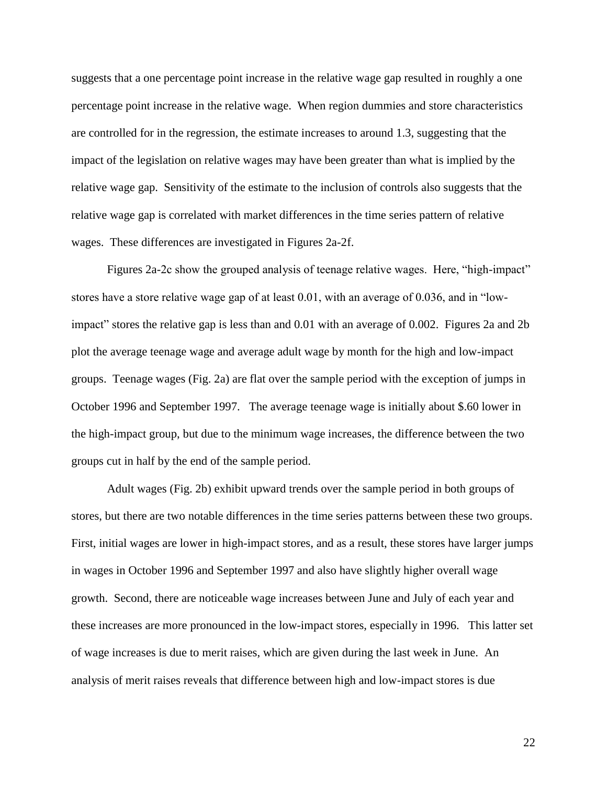suggests that a one percentage point increase in the relative wage gap resulted in roughly a one percentage point increase in the relative wage. When region dummies and store characteristics are controlled for in the regression, the estimate increases to around 1.3, suggesting that the impact of the legislation on relative wages may have been greater than what is implied by the relative wage gap. Sensitivity of the estimate to the inclusion of controls also suggests that the relative wage gap is correlated with market differences in the time series pattern of relative wages. These differences are investigated in Figures 2a-2f.

Figures 2a-2c show the grouped analysis of teenage relative wages. Here, "high-impact" stores have a store relative wage gap of at least 0.01, with an average of 0.036, and in "lowimpact" stores the relative gap is less than and 0.01 with an average of 0.002. Figures 2a and 2b plot the average teenage wage and average adult wage by month for the high and low-impact groups. Teenage wages (Fig. 2a) are flat over the sample period with the exception of jumps in October 1996 and September 1997. The average teenage wage is initially about \$.60 lower in the high-impact group, but due to the minimum wage increases, the difference between the two groups cut in half by the end of the sample period.

Adult wages (Fig. 2b) exhibit upward trends over the sample period in both groups of stores, but there are two notable differences in the time series patterns between these two groups. First, initial wages are lower in high-impact stores, and as a result, these stores have larger jumps in wages in October 1996 and September 1997 and also have slightly higher overall wage growth. Second, there are noticeable wage increases between June and July of each year and these increases are more pronounced in the low-impact stores, especially in 1996. This latter set of wage increases is due to merit raises, which are given during the last week in June. An analysis of merit raises reveals that difference between high and low-impact stores is due

22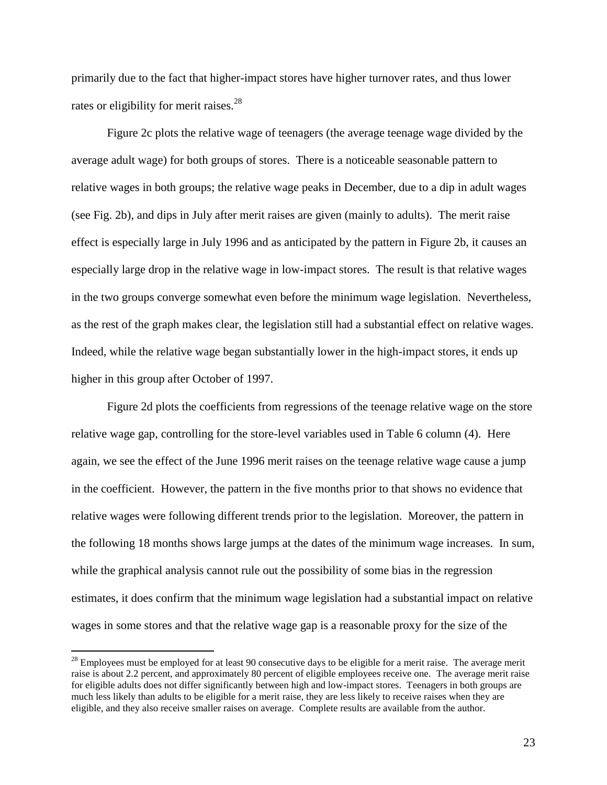primarily due to the fact that higher-impact stores have higher turnover rates, and thus lower rates or eligibility for merit raises.<sup>28</sup>

Figure 2c plots the relative wage of teenagers (the average teenage wage divided by the average adult wage) for both groups of stores. There is a noticeable seasonable pattern to relative wages in both groups; the relative wage peaks in December, due to a dip in adult wages (see Fig. 2b), and dips in July after merit raises are given (mainly to adults). The merit raise effect is especially large in July 1996 and as anticipated by the pattern in Figure 2b, it causes an especially large drop in the relative wage in low-impact stores. The result is that relative wages in the two groups converge somewhat even before the minimum wage legislation. Nevertheless, as the rest of the graph makes clear, the legislation still had a substantial effect on relative wages. Indeed, while the relative wage began substantially lower in the high-impact stores, it ends up higher in this group after October of 1997.

Figure 2d plots the coefficients from regressions of the teenage relative wage on the store relative wage gap, controlling for the store-level variables used in Table 6 column (4). Here again, we see the effect of the June 1996 merit raises on the teenage relative wage cause a jump in the coefficient. However, the pattern in the five months prior to that shows no evidence that relative wages were following different trends prior to the legislation. Moreover, the pattern in the following 18 months shows large jumps at the dates of the minimum wage increases. In sum, while the graphical analysis cannot rule out the possibility of some bias in the regression estimates, it does confirm that the minimum wage legislation had a substantial impact on relative wages in some stores and that the relative wage gap is a reasonable proxy for the size of the

 $2<sup>28</sup>$  Employees must be employed for at least 90 consecutive days to be eligible for a merit raise. The average merit raise is about 2.2 percent, and approximately 80 percent of eligible employees receive one. The average merit raise for eligible adults does not differ significantly between high and low-impact stores. Teenagers in both groups are much less likely than adults to be eligible for a merit raise, they are less likely to receive raises when they are eligible, and they also receive smaller raises on average. Complete results are available from the author.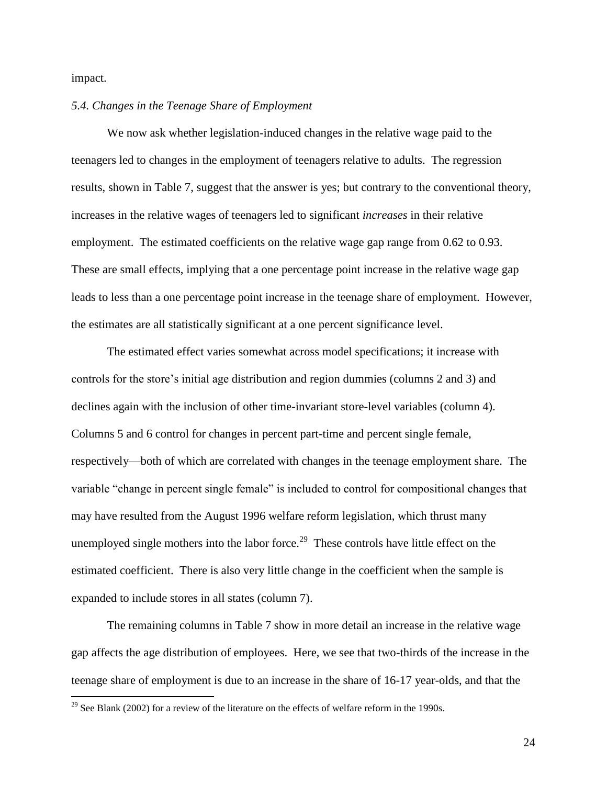impact.

 $\overline{a}$ 

### *5.4. Changes in the Teenage Share of Employment*

We now ask whether legislation-induced changes in the relative wage paid to the teenagers led to changes in the employment of teenagers relative to adults. The regression results, shown in Table 7, suggest that the answer is yes; but contrary to the conventional theory, increases in the relative wages of teenagers led to significant *increases* in their relative employment. The estimated coefficients on the relative wage gap range from 0.62 to 0.93. These are small effects, implying that a one percentage point increase in the relative wage gap leads to less than a one percentage point increase in the teenage share of employment. However, the estimates are all statistically significant at a one percent significance level.

The estimated effect varies somewhat across model specifications; it increase with controls for the store's initial age distribution and region dummies (columns 2 and 3) and declines again with the inclusion of other time-invariant store-level variables (column 4). Columns 5 and 6 control for changes in percent part-time and percent single female, respectively—both of which are correlated with changes in the teenage employment share. The variable "change in percent single female" is included to control for compositional changes that may have resulted from the August 1996 welfare reform legislation, which thrust many unemployed single mothers into the labor force.<sup>29</sup> These controls have little effect on the estimated coefficient. There is also very little change in the coefficient when the sample is expanded to include stores in all states (column 7).

The remaining columns in Table 7 show in more detail an increase in the relative wage gap affects the age distribution of employees. Here, we see that two-thirds of the increase in the teenage share of employment is due to an increase in the share of 16-17 year-olds, and that the

<sup>&</sup>lt;sup>29</sup> See Blank (2002) for a review of the literature on the effects of welfare reform in the 1990s.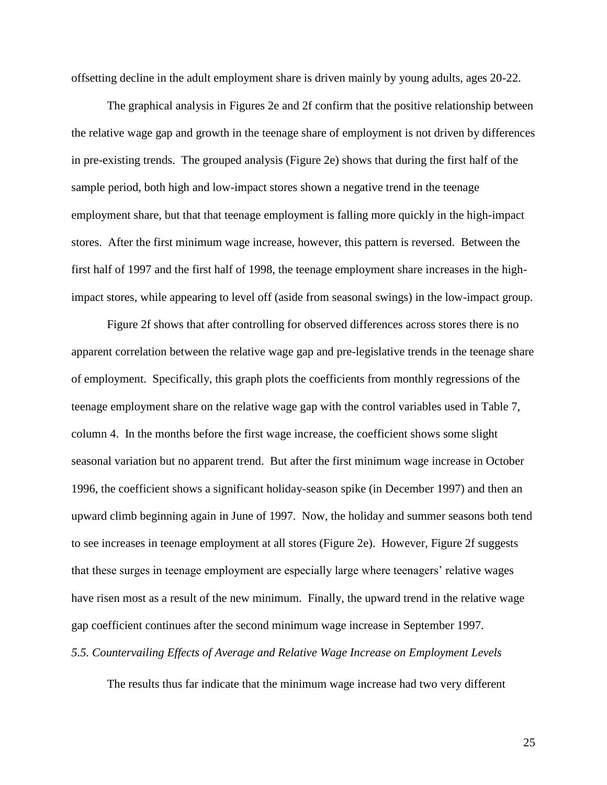offsetting decline in the adult employment share is driven mainly by young adults, ages 20-22.

The graphical analysis in Figures 2e and 2f confirm that the positive relationship between the relative wage gap and growth in the teenage share of employment is not driven by differences in pre-existing trends. The grouped analysis (Figure 2e) shows that during the first half of the sample period, both high and low-impact stores shown a negative trend in the teenage employment share, but that that teenage employment is falling more quickly in the high-impact stores. After the first minimum wage increase, however, this pattern is reversed. Between the first half of 1997 and the first half of 1998, the teenage employment share increases in the highimpact stores, while appearing to level off (aside from seasonal swings) in the low-impact group.

Figure 2f shows that after controlling for observed differences across stores there is no apparent correlation between the relative wage gap and pre-legislative trends in the teenage share of employment. Specifically, this graph plots the coefficients from monthly regressions of the teenage employment share on the relative wage gap with the control variables used in Table 7, column 4. In the months before the first wage increase, the coefficient shows some slight seasonal variation but no apparent trend. But after the first minimum wage increase in October 1996, the coefficient shows a significant holiday-season spike (in December 1997) and then an upward climb beginning again in June of 1997. Now, the holiday and summer seasons both tend to see increases in teenage employment at all stores (Figure 2e). However, Figure 2f suggests that these surges in teenage employment are especially large where teenagers' relative wages have risen most as a result of the new minimum. Finally, the upward trend in the relative wage gap coefficient continues after the second minimum wage increase in September 1997.

*5.5. Countervailing Effects of Average and Relative Wage Increase on Employment Levels*

The results thus far indicate that the minimum wage increase had two very different

25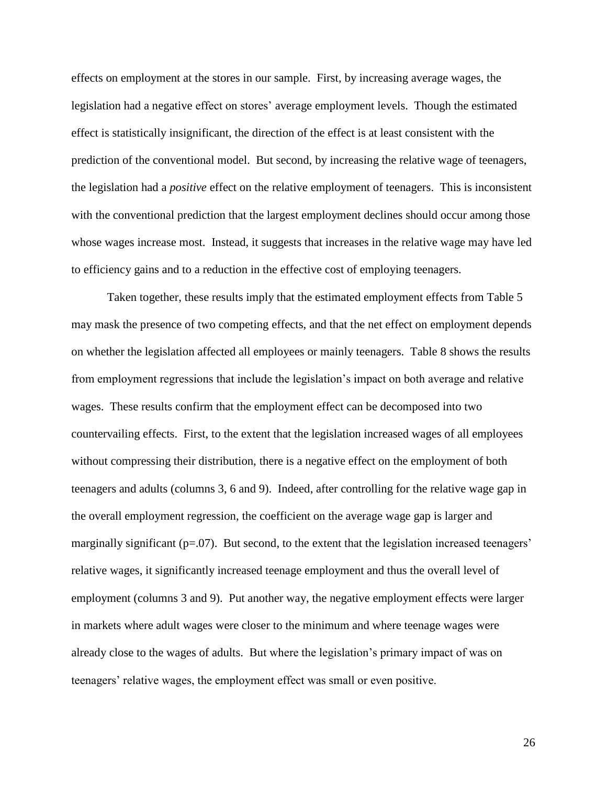effects on employment at the stores in our sample. First, by increasing average wages, the legislation had a negative effect on stores' average employment levels. Though the estimated effect is statistically insignificant, the direction of the effect is at least consistent with the prediction of the conventional model. But second, by increasing the relative wage of teenagers, the legislation had a *positive* effect on the relative employment of teenagers. This is inconsistent with the conventional prediction that the largest employment declines should occur among those whose wages increase most. Instead, it suggests that increases in the relative wage may have led to efficiency gains and to a reduction in the effective cost of employing teenagers.

Taken together, these results imply that the estimated employment effects from Table 5 may mask the presence of two competing effects, and that the net effect on employment depends on whether the legislation affected all employees or mainly teenagers. Table 8 shows the results from employment regressions that include the legislation's impact on both average and relative wages. These results confirm that the employment effect can be decomposed into two countervailing effects. First, to the extent that the legislation increased wages of all employees without compressing their distribution, there is a negative effect on the employment of both teenagers and adults (columns 3, 6 and 9). Indeed, after controlling for the relative wage gap in the overall employment regression, the coefficient on the average wage gap is larger and marginally significant  $(p=07)$ . But second, to the extent that the legislation increased teenagers' relative wages, it significantly increased teenage employment and thus the overall level of employment (columns 3 and 9). Put another way, the negative employment effects were larger in markets where adult wages were closer to the minimum and where teenage wages were already close to the wages of adults. But where the legislation's primary impact of was on teenagers' relative wages, the employment effect was small or even positive.

26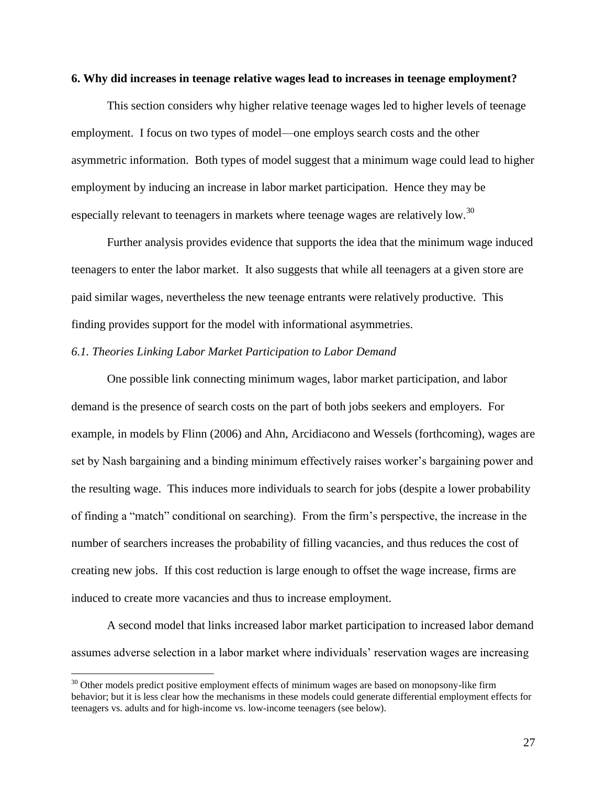### **6. Why did increases in teenage relative wages lead to increases in teenage employment?**

This section considers why higher relative teenage wages led to higher levels of teenage employment. I focus on two types of model—one employs search costs and the other asymmetric information. Both types of model suggest that a minimum wage could lead to higher employment by inducing an increase in labor market participation. Hence they may be especially relevant to teenagers in markets where teenage wages are relatively low.<sup>30</sup>

Further analysis provides evidence that supports the idea that the minimum wage induced teenagers to enter the labor market. It also suggests that while all teenagers at a given store are paid similar wages, nevertheless the new teenage entrants were relatively productive. This finding provides support for the model with informational asymmetries.

### *6.1. Theories Linking Labor Market Participation to Labor Demand*

 $\overline{a}$ 

One possible link connecting minimum wages, labor market participation, and labor demand is the presence of search costs on the part of both jobs seekers and employers. For example, in models by Flinn (2006) and Ahn, Arcidiacono and Wessels (forthcoming), wages are set by Nash bargaining and a binding minimum effectively raises worker's bargaining power and the resulting wage. This induces more individuals to search for jobs (despite a lower probability of finding a "match" conditional on searching). From the firm's perspective, the increase in the number of searchers increases the probability of filling vacancies, and thus reduces the cost of creating new jobs. If this cost reduction is large enough to offset the wage increase, firms are induced to create more vacancies and thus to increase employment.

A second model that links increased labor market participation to increased labor demand assumes adverse selection in a labor market where individuals' reservation wages are increasing

 $30$  Other models predict positive employment effects of minimum wages are based on monopsony-like firm behavior; but it is less clear how the mechanisms in these models could generate differential employment effects for teenagers vs. adults and for high-income vs. low-income teenagers (see below).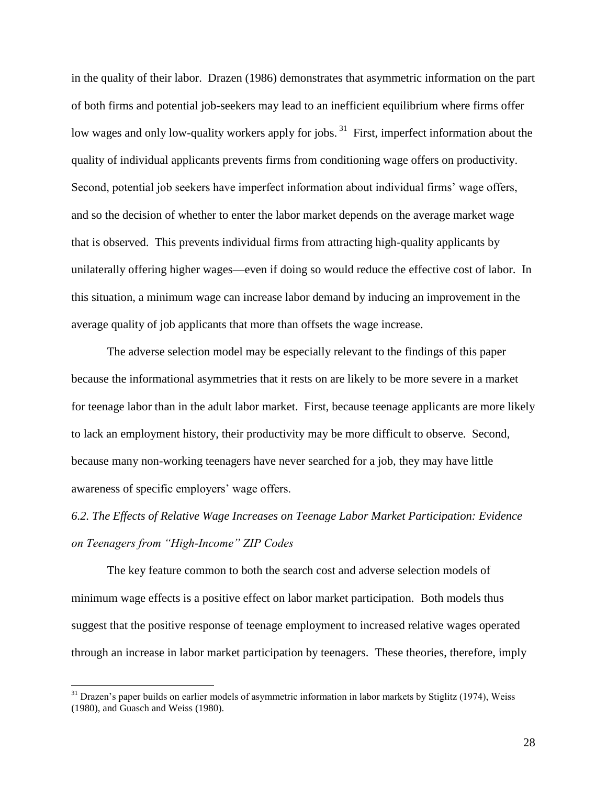in the quality of their labor. Drazen (1986) demonstrates that asymmetric information on the part of both firms and potential job-seekers may lead to an inefficient equilibrium where firms offer low wages and only low-quality workers apply for jobs.<sup>31</sup> First, imperfect information about the quality of individual applicants prevents firms from conditioning wage offers on productivity. Second, potential job seekers have imperfect information about individual firms' wage offers, and so the decision of whether to enter the labor market depends on the average market wage that is observed. This prevents individual firms from attracting high-quality applicants by unilaterally offering higher wages—even if doing so would reduce the effective cost of labor. In this situation, a minimum wage can increase labor demand by inducing an improvement in the average quality of job applicants that more than offsets the wage increase.

The adverse selection model may be especially relevant to the findings of this paper because the informational asymmetries that it rests on are likely to be more severe in a market for teenage labor than in the adult labor market. First, because teenage applicants are more likely to lack an employment history, their productivity may be more difficult to observe. Second, because many non-working teenagers have never searched for a job, they may have little awareness of specific employers' wage offers.

# *6.2. The Effects of Relative Wage Increases on Teenage Labor Market Participation: Evidence on Teenagers from "High-Income" ZIP Codes*

The key feature common to both the search cost and adverse selection models of minimum wage effects is a positive effect on labor market participation. Both models thus suggest that the positive response of teenage employment to increased relative wages operated through an increase in labor market participation by teenagers. These theories, therefore, imply

<sup>&</sup>lt;sup>31</sup> Drazen's paper builds on earlier models of asymmetric information in labor markets by Stiglitz (1974), Weiss (1980), and Guasch and Weiss (1980).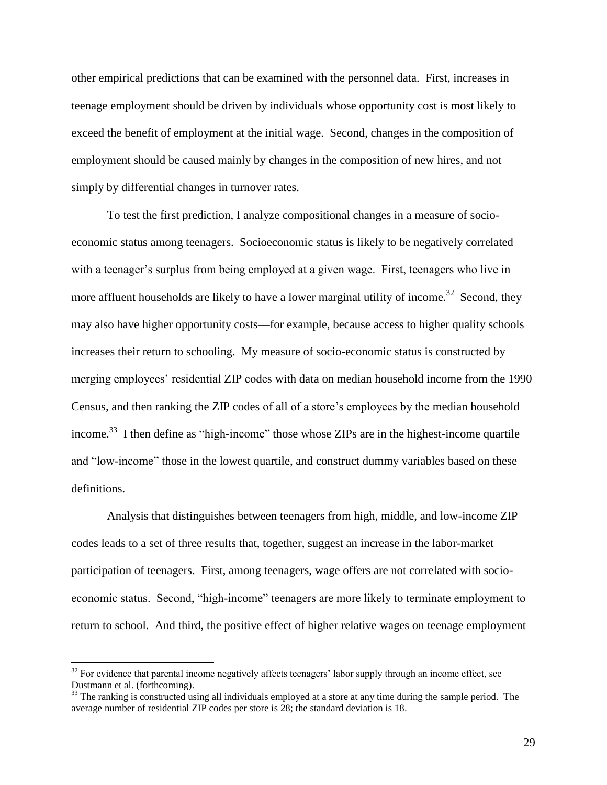other empirical predictions that can be examined with the personnel data. First, increases in teenage employment should be driven by individuals whose opportunity cost is most likely to exceed the benefit of employment at the initial wage. Second, changes in the composition of employment should be caused mainly by changes in the composition of new hires, and not simply by differential changes in turnover rates.

To test the first prediction, I analyze compositional changes in a measure of socioeconomic status among teenagers. Socioeconomic status is likely to be negatively correlated with a teenager's surplus from being employed at a given wage. First, teenagers who live in more affluent households are likely to have a lower marginal utility of income.<sup>32</sup> Second, they may also have higher opportunity costs—for example, because access to higher quality schools increases their return to schooling. My measure of socio-economic status is constructed by merging employees' residential ZIP codes with data on median household income from the 1990 Census, and then ranking the ZIP codes of all of a store's employees by the median household income.<sup>33</sup> I then define as "high-income" those whose ZIPs are in the highest-income quartile and "low-income" those in the lowest quartile, and construct dummy variables based on these definitions.

Analysis that distinguishes between teenagers from high, middle, and low-income ZIP codes leads to a set of three results that, together, suggest an increase in the labor-market participation of teenagers. First, among teenagers, wage offers are not correlated with socioeconomic status. Second, "high-income" teenagers are more likely to terminate employment to return to school. And third, the positive effect of higher relative wages on teenage employment

 $32$  For evidence that parental income negatively affects teenagers' labor supply through an income effect, see Dustmann et al. (forthcoming).

<sup>&</sup>lt;sup>33</sup> The ranking is constructed using all individuals employed at a store at any time during the sample period. The average number of residential ZIP codes per store is 28; the standard deviation is 18.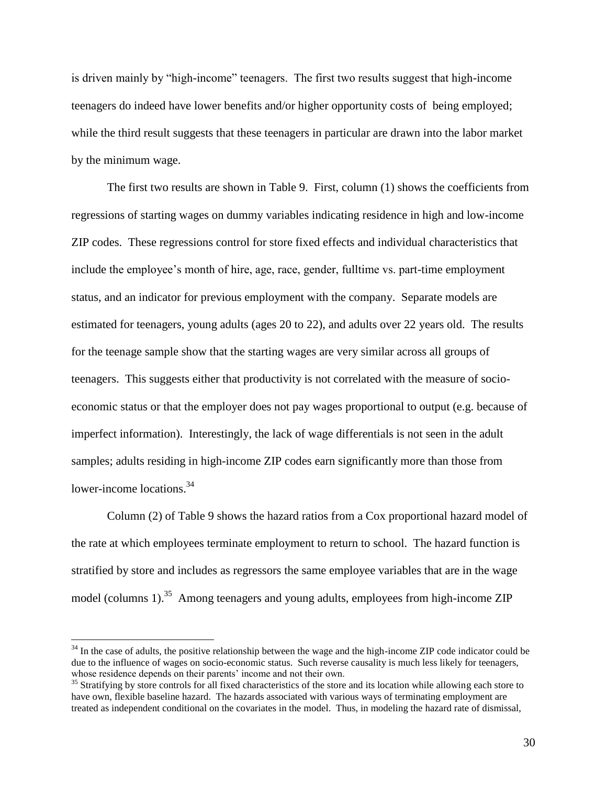is driven mainly by "high-income" teenagers. The first two results suggest that high-income teenagers do indeed have lower benefits and/or higher opportunity costs of being employed; while the third result suggests that these teenagers in particular are drawn into the labor market by the minimum wage.

The first two results are shown in Table 9. First, column (1) shows the coefficients from regressions of starting wages on dummy variables indicating residence in high and low-income ZIP codes. These regressions control for store fixed effects and individual characteristics that include the employee's month of hire, age, race, gender, fulltime vs. part-time employment status, and an indicator for previous employment with the company. Separate models are estimated for teenagers, young adults (ages 20 to 22), and adults over 22 years old. The results for the teenage sample show that the starting wages are very similar across all groups of teenagers. This suggests either that productivity is not correlated with the measure of socioeconomic status or that the employer does not pay wages proportional to output (e.g. because of imperfect information). Interestingly, the lack of wage differentials is not seen in the adult samples; adults residing in high-income ZIP codes earn significantly more than those from lower-income locations.<sup>34</sup>

Column (2) of Table 9 shows the hazard ratios from a Cox proportional hazard model of the rate at which employees terminate employment to return to school. The hazard function is stratified by store and includes as regressors the same employee variables that are in the wage model (columns 1).<sup>35</sup> Among teenagers and young adults, employees from high-income ZIP

<sup>&</sup>lt;sup>34</sup> In the case of adults, the positive relationship between the wage and the high-income ZIP code indicator could be due to the influence of wages on socio-economic status. Such reverse causality is much less likely for teenagers, whose residence depends on their parents' income and not their own.

<sup>&</sup>lt;sup>35</sup> Stratifying by store controls for all fixed characteristics of the store and its location while allowing each store to have own, flexible baseline hazard. The hazards associated with various ways of terminating employment are treated as independent conditional on the covariates in the model. Thus, in modeling the hazard rate of dismissal,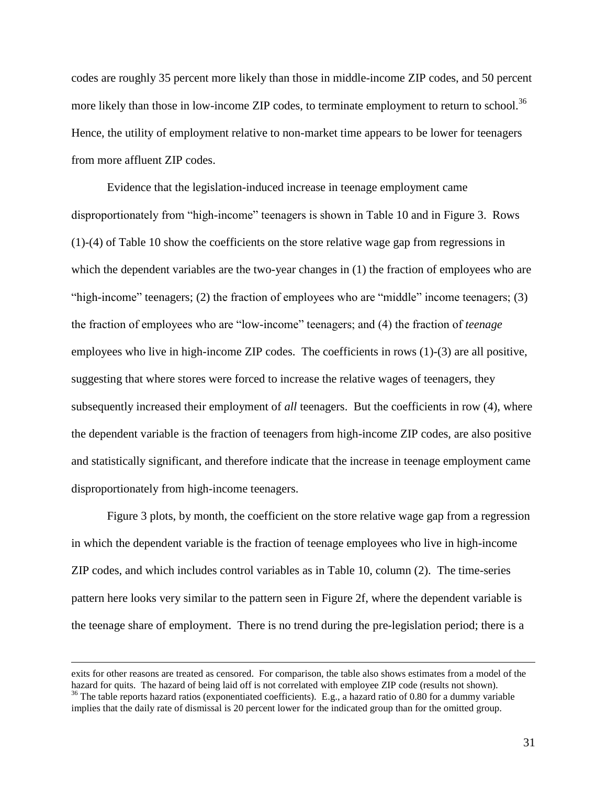codes are roughly 35 percent more likely than those in middle-income ZIP codes, and 50 percent more likely than those in low-income ZIP codes, to terminate employment to return to school.<sup>36</sup> Hence, the utility of employment relative to non-market time appears to be lower for teenagers from more affluent ZIP codes.

Evidence that the legislation-induced increase in teenage employment came disproportionately from "high-income" teenagers is shown in Table 10 and in Figure 3. Rows (1)-(4) of Table 10 show the coefficients on the store relative wage gap from regressions in which the dependent variables are the two-year changes in (1) the fraction of employees who are "high-income" teenagers; (2) the fraction of employees who are "middle" income teenagers; (3) the fraction of employees who are "low-income" teenagers; and (4) the fraction of *teenage* employees who live in high-income ZIP codes. The coefficients in rows (1)-(3) are all positive, suggesting that where stores were forced to increase the relative wages of teenagers, they subsequently increased their employment of *all* teenagers. But the coefficients in row (4), where the dependent variable is the fraction of teenagers from high-income ZIP codes, are also positive and statistically significant, and therefore indicate that the increase in teenage employment came disproportionately from high-income teenagers.

Figure 3 plots, by month, the coefficient on the store relative wage gap from a regression in which the dependent variable is the fraction of teenage employees who live in high-income ZIP codes, and which includes control variables as in Table 10, column (2). The time-series pattern here looks very similar to the pattern seen in Figure 2f, where the dependent variable is the teenage share of employment. There is no trend during the pre-legislation period; there is a

exits for other reasons are treated as censored. For comparison, the table also shows estimates from a model of the hazard for quits. The hazard of being laid off is not correlated with employee ZIP code (results not shown). <sup>36</sup> The table reports hazard ratios (exponentiated coefficients). E.g., a hazard ratio of 0.80 for a dummy variable implies that the daily rate of dismissal is 20 percent lower for the indicated group than for the omitted group.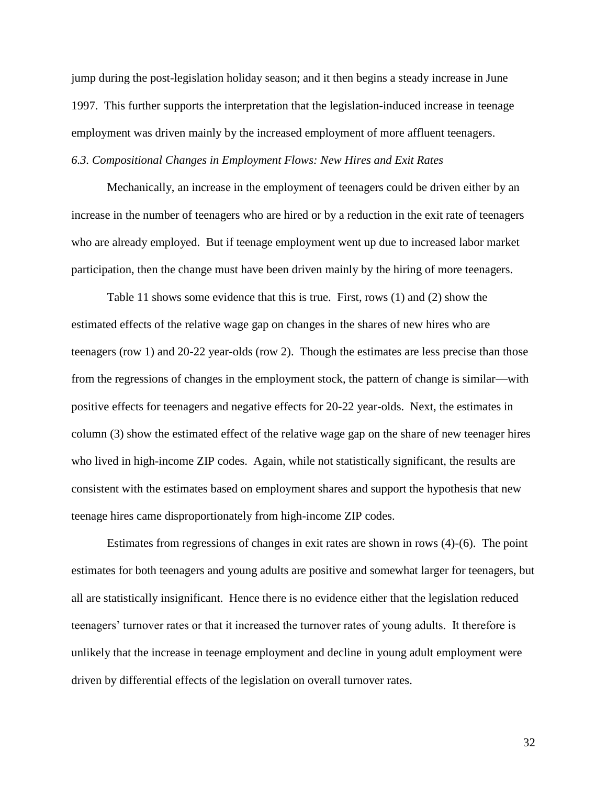jump during the post-legislation holiday season; and it then begins a steady increase in June 1997. This further supports the interpretation that the legislation-induced increase in teenage employment was driven mainly by the increased employment of more affluent teenagers. *6.3. Compositional Changes in Employment Flows: New Hires and Exit Rates*

Mechanically, an increase in the employment of teenagers could be driven either by an increase in the number of teenagers who are hired or by a reduction in the exit rate of teenagers who are already employed. But if teenage employment went up due to increased labor market participation, then the change must have been driven mainly by the hiring of more teenagers.

Table 11 shows some evidence that this is true. First, rows (1) and (2) show the estimated effects of the relative wage gap on changes in the shares of new hires who are teenagers (row 1) and 20-22 year-olds (row 2). Though the estimates are less precise than those from the regressions of changes in the employment stock, the pattern of change is similar—with positive effects for teenagers and negative effects for 20-22 year-olds. Next, the estimates in column (3) show the estimated effect of the relative wage gap on the share of new teenager hires who lived in high-income ZIP codes. Again, while not statistically significant, the results are consistent with the estimates based on employment shares and support the hypothesis that new teenage hires came disproportionately from high-income ZIP codes.

Estimates from regressions of changes in exit rates are shown in rows (4)-(6). The point estimates for both teenagers and young adults are positive and somewhat larger for teenagers, but all are statistically insignificant. Hence there is no evidence either that the legislation reduced teenagers' turnover rates or that it increased the turnover rates of young adults. It therefore is unlikely that the increase in teenage employment and decline in young adult employment were driven by differential effects of the legislation on overall turnover rates.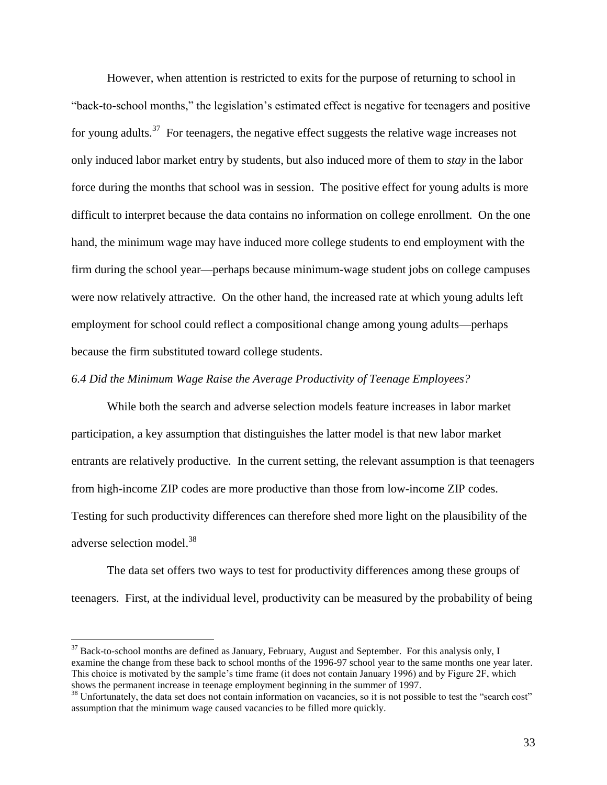However, when attention is restricted to exits for the purpose of returning to school in "back-to-school months," the legislation's estimated effect is negative for teenagers and positive for young adults.<sup>37</sup> For teenagers, the negative effect suggests the relative wage increases not only induced labor market entry by students, but also induced more of them to *stay* in the labor force during the months that school was in session. The positive effect for young adults is more difficult to interpret because the data contains no information on college enrollment. On the one hand, the minimum wage may have induced more college students to end employment with the firm during the school year—perhaps because minimum-wage student jobs on college campuses were now relatively attractive. On the other hand, the increased rate at which young adults left employment for school could reflect a compositional change among young adults—perhaps because the firm substituted toward college students.

### *6.4 Did the Minimum Wage Raise the Average Productivity of Teenage Employees?*

While both the search and adverse selection models feature increases in labor market participation, a key assumption that distinguishes the latter model is that new labor market entrants are relatively productive. In the current setting, the relevant assumption is that teenagers from high-income ZIP codes are more productive than those from low-income ZIP codes. Testing for such productivity differences can therefore shed more light on the plausibility of the adverse selection model.<sup>38</sup>

The data set offers two ways to test for productivity differences among these groups of teenagers. First, at the individual level, productivity can be measured by the probability of being

<sup>&</sup>lt;sup>37</sup> Back-to-school months are defined as January, February, August and September. For this analysis only, I examine the change from these back to school months of the 1996-97 school year to the same months one year later. This choice is motivated by the sample's time frame (it does not contain January 1996) and by Figure 2F, which shows the permanent increase in teenage employment beginning in the summer of 1997.

<sup>&</sup>lt;sup>38</sup> Unfortunately, the data set does not contain information on vacancies, so it is not possible to test the "search cost" assumption that the minimum wage caused vacancies to be filled more quickly.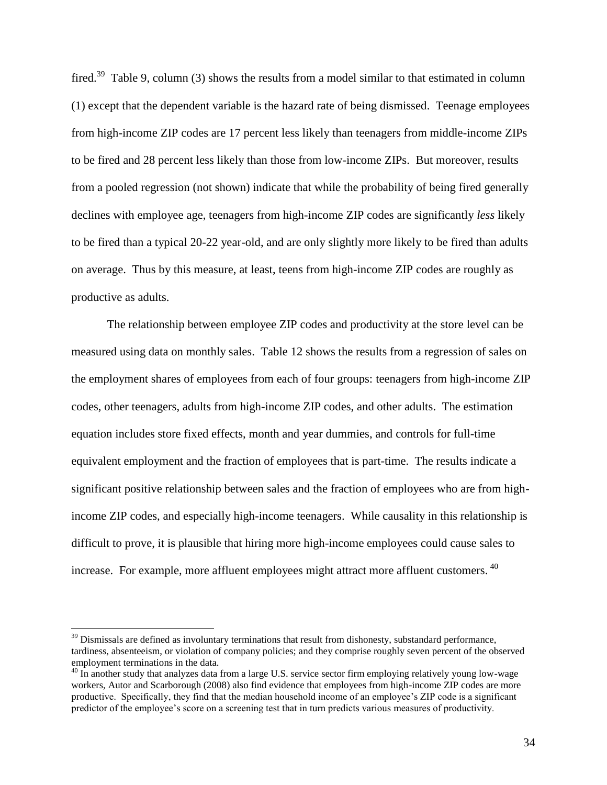fired.<sup>39</sup> Table 9, column (3) shows the results from a model similar to that estimated in column (1) except that the dependent variable is the hazard rate of being dismissed. Teenage employees from high-income ZIP codes are 17 percent less likely than teenagers from middle-income ZIPs to be fired and 28 percent less likely than those from low-income ZIPs. But moreover, results from a pooled regression (not shown) indicate that while the probability of being fired generally declines with employee age, teenagers from high-income ZIP codes are significantly *less* likely to be fired than a typical 20-22 year-old, and are only slightly more likely to be fired than adults on average. Thus by this measure, at least, teens from high-income ZIP codes are roughly as productive as adults.

The relationship between employee ZIP codes and productivity at the store level can be measured using data on monthly sales. Table 12 shows the results from a regression of sales on the employment shares of employees from each of four groups: teenagers from high-income ZIP codes, other teenagers, adults from high-income ZIP codes, and other adults. The estimation equation includes store fixed effects, month and year dummies, and controls for full-time equivalent employment and the fraction of employees that is part-time. The results indicate a significant positive relationship between sales and the fraction of employees who are from highincome ZIP codes, and especially high-income teenagers. While causality in this relationship is difficult to prove, it is plausible that hiring more high-income employees could cause sales to increase. For example, more affluent employees might attract more affluent customers. <sup>40</sup>

 $39$  Dismissals are defined as involuntary terminations that result from dishonesty, substandard performance, tardiness, absenteeism, or violation of company policies; and they comprise roughly seven percent of the observed employment terminations in the data.

<sup>&</sup>lt;sup>40</sup> In another study that analyzes data from a large U.S. service sector firm employing relatively young low-wage workers, Autor and Scarborough (2008) also find evidence that employees from high-income ZIP codes are more productive. Specifically, they find that the median household income of an employee's ZIP code is a significant predictor of the employee's score on a screening test that in turn predicts various measures of productivity.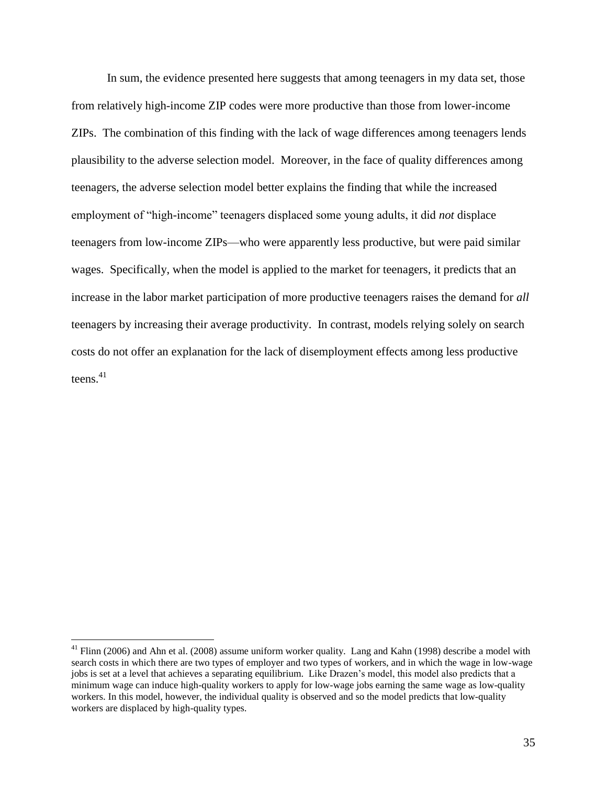In sum, the evidence presented here suggests that among teenagers in my data set, those from relatively high-income ZIP codes were more productive than those from lower-income ZIPs. The combination of this finding with the lack of wage differences among teenagers lends plausibility to the adverse selection model. Moreover, in the face of quality differences among teenagers, the adverse selection model better explains the finding that while the increased employment of "high-income" teenagers displaced some young adults, it did *not* displace teenagers from low-income ZIPs—who were apparently less productive, but were paid similar wages. Specifically, when the model is applied to the market for teenagers, it predicts that an increase in the labor market participation of more productive teenagers raises the demand for *all* teenagers by increasing their average productivity. In contrast, models relying solely on search costs do not offer an explanation for the lack of disemployment effects among less productive teens $^{41}$ 

 $41$  Flinn (2006) and Ahn et al. (2008) assume uniform worker quality. Lang and Kahn (1998) describe a model with search costs in which there are two types of employer and two types of workers, and in which the wage in low-wage jobs is set at a level that achieves a separating equilibrium. Like Drazen's model, this model also predicts that a minimum wage can induce high-quality workers to apply for low-wage jobs earning the same wage as low-quality workers. In this model, however, the individual quality is observed and so the model predicts that low-quality workers are displaced by high-quality types.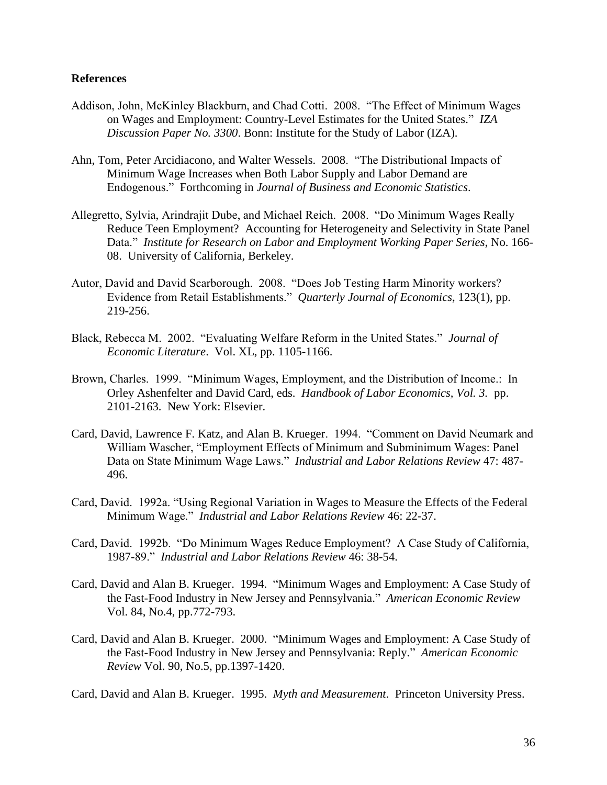# **References**

- Addison, John, McKinley Blackburn, and Chad Cotti. 2008. "The Effect of Minimum Wages on Wages and Employment: Country-Level Estimates for the United States." *IZA Discussion Paper No. 3300*. Bonn: Institute for the Study of Labor (IZA).
- Ahn, Tom, Peter Arcidiacono, and Walter Wessels. 2008. "The Distributional Impacts of Minimum Wage Increases when Both Labor Supply and Labor Demand are Endogenous." Forthcoming in *Journal of Business and Economic Statistics*.
- Allegretto, Sylvia, Arindrajit Dube, and Michael Reich. 2008. "Do Minimum Wages Really Reduce Teen Employment? Accounting for Heterogeneity and Selectivity in State Panel Data." *Institute for Research on Labor and Employment Working Paper Series*, No. 166- 08. University of California, Berkeley.
- Autor, David and David Scarborough. 2008. "Does Job Testing Harm Minority workers? Evidence from Retail Establishments." *Quarterly Journal of Economics*, 123(1), pp. 219-256.
- Black, Rebecca M. 2002. "Evaluating Welfare Reform in the United States." *Journal of Economic Literature*. Vol. XL, pp. 1105-1166.
- Brown, Charles. 1999. "Minimum Wages, Employment, and the Distribution of Income.: In Orley Ashenfelter and David Card, eds. *Handbook of Labor Economics, Vol. 3.* pp. 2101-2163. New York: Elsevier.
- Card, David, Lawrence F. Katz, and Alan B. Krueger. 1994. "Comment on David Neumark and William Wascher, "Employment Effects of Minimum and Subminimum Wages: Panel Data on State Minimum Wage Laws." *Industrial and Labor Relations Review* 47: 487- 496.
- Card, David. 1992a. "Using Regional Variation in Wages to Measure the Effects of the Federal Minimum Wage." *Industrial and Labor Relations Review* 46: 22-37.
- Card, David. 1992b. "Do Minimum Wages Reduce Employment? A Case Study of California, 1987-89." *Industrial and Labor Relations Review* 46: 38-54.
- Card, David and Alan B. Krueger. 1994. "Minimum Wages and Employment: A Case Study of the Fast-Food Industry in New Jersey and Pennsylvania." *American Economic Review* Vol. 84, No.4, pp.772-793.
- Card, David and Alan B. Krueger. 2000. "Minimum Wages and Employment: A Case Study of the Fast-Food Industry in New Jersey and Pennsylvania: Reply." *American Economic Review* Vol. 90, No.5, pp.1397-1420.

Card, David and Alan B. Krueger. 1995. *Myth and Measurement*. Princeton University Press.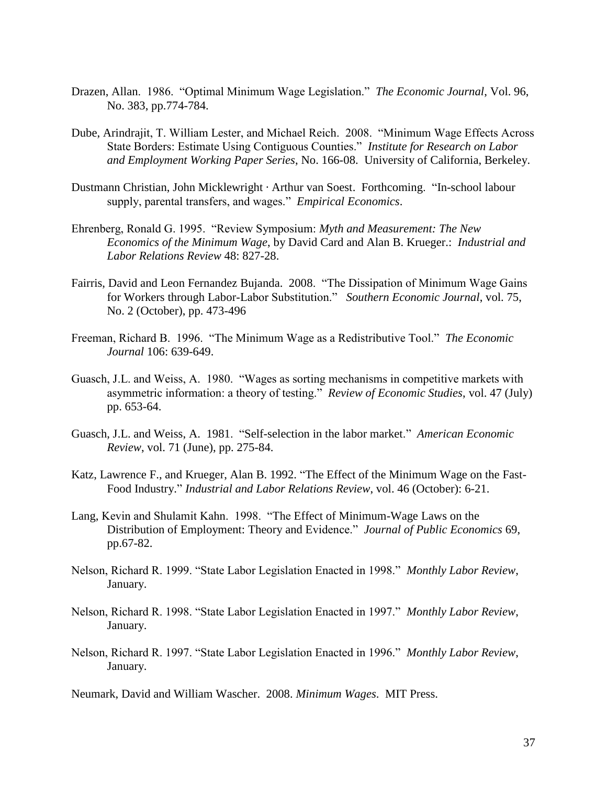- Drazen, Allan. 1986. "Optimal Minimum Wage Legislation." *The Economic Journal*, Vol. 96, No. 383, pp.774-784.
- Dube, Arindrajit, T. William Lester, and Michael Reich. 2008. "Minimum Wage Effects Across State Borders: Estimate Using Contiguous Counties." *Institute for Research on Labor and Employment Working Paper Series*, No. 166-08. University of California, Berkeley.
- Dustmann Christian, John Micklewright · Arthur van Soest. Forthcoming. "In-school labour supply, parental transfers, and wages." *Empirical Economics*.
- Ehrenberg, Ronald G. 1995. "Review Symposium: *Myth and Measurement: The New Economics of the Minimum Wage*, by David Card and Alan B. Krueger.: *Industrial and Labor Relations Review* 48: 827-28.
- Fairris, David and Leon Fernandez Bujanda. 2008. "The Dissipation of Minimum Wage Gains for Workers through Labor-Labor Substitution." *Southern Economic Journal*, vol. 75, No. 2 (October), pp. 473-496
- Freeman, Richard B. 1996. "The Minimum Wage as a Redistributive Tool." *The Economic Journal* 106: 639-649.
- Guasch, J.L. and Weiss, A. 1980. "Wages as sorting mechanisms in competitive markets with asymmetric information: a theory of testing." *Review of Economic Studies*, vol. 47 (July) pp. 653-64.
- Guasch, J.L. and Weiss, A. 1981. "Self-selection in the labor market." *American Economic Review*, vol. 71 (June), pp. 275-84.
- Katz, Lawrence F., and Krueger, Alan B. 1992. "The Effect of the Minimum Wage on the Fast-Food Industry." *Industrial and Labor Relations Review*, vol. 46 (October): 6-21.
- Lang, Kevin and Shulamit Kahn. 1998. "The Effect of Minimum-Wage Laws on the Distribution of Employment: Theory and Evidence." *Journal of Public Economics* 69, pp.67-82.
- Nelson, Richard R. 1999. "State Labor Legislation Enacted in 1998." *Monthly Labor Review*, January.
- Nelson, Richard R. 1998. "State Labor Legislation Enacted in 1997." *Monthly Labor Review*, January.
- Nelson, Richard R. 1997. "State Labor Legislation Enacted in 1996." *Monthly Labor Review*, January.

Neumark, David and William Wascher. 2008. *Minimum Wages*. MIT Press.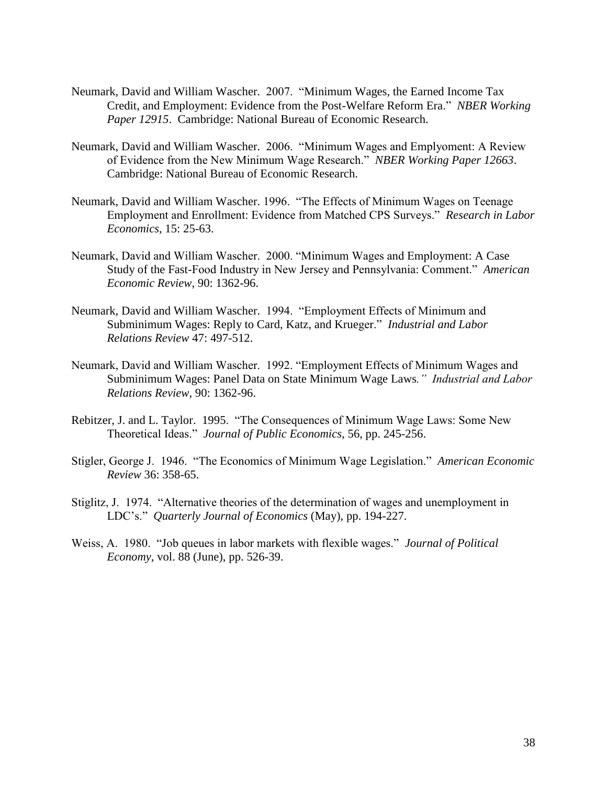- Neumark, David and William Wascher. 2007. "Minimum Wages, the Earned Income Tax Credit, and Employment: Evidence from the Post-Welfare Reform Era." *NBER Working Paper 12915*. Cambridge: National Bureau of Economic Research.
- Neumark, David and William Wascher. 2006. "Minimum Wages and Emplyoment: A Review of Evidence from the New Minimum Wage Research." *NBER Working Paper 12663*. Cambridge: National Bureau of Economic Research.
- Neumark, David and William Wascher. 1996. "The Effects of Minimum Wages on Teenage Employment and Enrollment: Evidence from Matched CPS Surveys." *Research in Labor Economics*, 15: 25-63.
- Neumark, David and William Wascher. 2000. "Minimum Wages and Employment: A Case Study of the Fast-Food Industry in New Jersey and Pennsylvania: Comment." *American Economic Review*, 90: 1362-96.
- Neumark, David and William Wascher. 1994. "Employment Effects of Minimum and Subminimum Wages: Reply to Card, Katz, and Krueger." *Industrial and Labor Relations Review* 47: 497-512.
- Neumark, David and William Wascher. 1992. "Employment Effects of Minimum Wages and Subminimum Wages: Panel Data on State Minimum Wage Laws*." Industrial and Labor Relations Review*, 90: 1362-96.
- Rebitzer, J. and L. Taylor. 1995. "The Consequences of Minimum Wage Laws: Some New Theoretical Ideas." *Journal of Public Economics*, 56, pp. 245-256.
- Stigler, George J. 1946. "The Economics of Minimum Wage Legislation." *American Economic Review* 36: 358-65.
- Stiglitz, J. 1974. "Alternative theories of the determination of wages and unemployment in LDC's." *Quarterly Journal of Economics* (May), pp. 194-227.
- Weiss, A. 1980. "Job queues in labor markets with flexible wages." *Journal of Political Economy*, vol. 88 (June), pp. 526-39.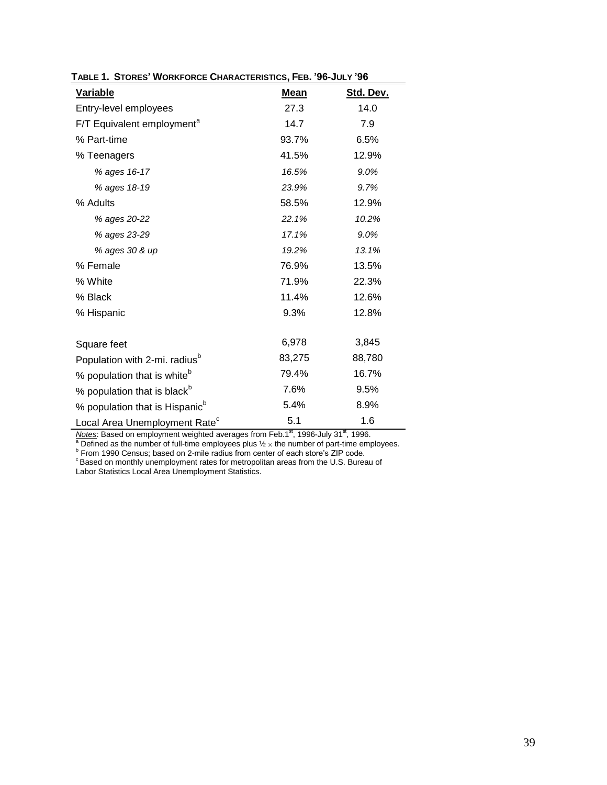| <b>Variable</b>                            | <u>Mean</u> | Std. Dev. |
|--------------------------------------------|-------------|-----------|
| Entry-level employees                      | 27.3        | 14.0      |
| F/T Equivalent employment <sup>a</sup>     | 14.7        | 7.9       |
| % Part-time                                | 93.7%       | 6.5%      |
| % Teenagers                                | 41.5%       | 12.9%     |
| % ages 16-17                               | 16.5%       | 9.0%      |
| % ages 18-19                               | 23.9%       | 9.7%      |
| % Adults                                   | 58.5%       | 12.9%     |
| % ages 20-22                               | 22.1%       | 10.2%     |
| % ages 23-29                               | 17.1%       | 9.0%      |
| % ages 30 & up                             | 19.2%       | 13.1%     |
| % Female                                   | 76.9%       | 13.5%     |
| % White                                    | 71.9%       | 22.3%     |
| % Black                                    | 11.4%       | 12.6%     |
| % Hispanic                                 | 9.3%        | 12.8%     |
|                                            |             |           |
| Square feet                                | 6,978       | 3,845     |
| Population with 2-mi. radius <sup>b</sup>  | 83,275      | 88,780    |
| % population that is white <sup>b</sup>    | 79.4%       | 16.7%     |
| % population that is black <sup>b</sup>    | 7.6%        | 9.5%      |
| % population that is Hispanic <sup>b</sup> | 5.4%        | 8.9%      |
| Local Area Unemployment Rate <sup>c</sup>  | 5.1         | 1.6       |

**TABLE 1. STORES' WORKFORCE CHARACTERISTICS, FEB. '96-JULY '96**

*Notes*: Based on employment weighted averages from Feb.1<sup>st</sup>, 1996-July 31<sup>st</sup>, 1996.

<sup>a</sup> Defined as the number of full-time employees plus  $\frac{1}{2} \times$  the number of part-time employees.<br><sup>b</sup> From 1990 Census; based on 2-mile radius from center of each store's ZIP code.<br><sup>c</sup> Based on monthly unemployment rat

Labor Statistics Local Area Unemployment Statistics.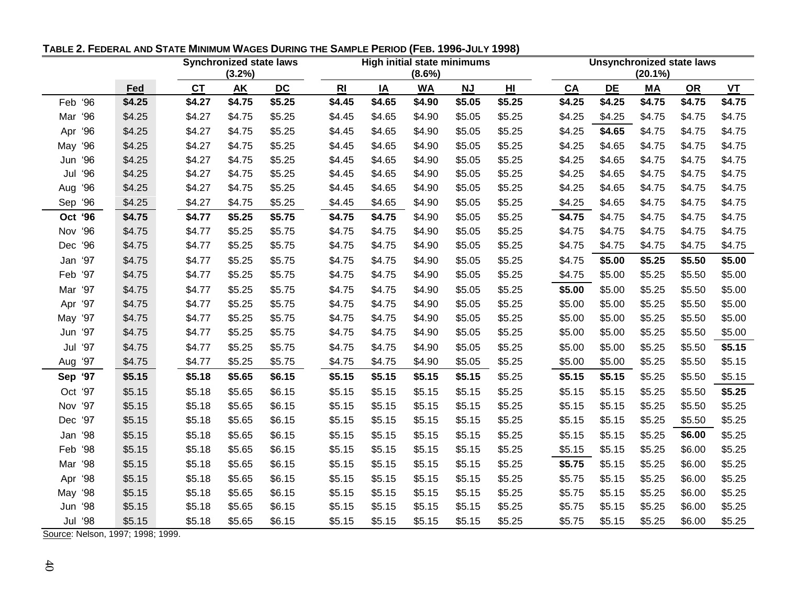|            |        |           | <b>Synchronized state laws</b> |           |                | <b>High initial state minimums</b> |           |           |                 |        | <b>Unsynchronized state laws</b> |            |           |           |  |
|------------|--------|-----------|--------------------------------|-----------|----------------|------------------------------------|-----------|-----------|-----------------|--------|----------------------------------|------------|-----------|-----------|--|
|            |        |           | (3.2%)                         |           |                | $(8.6\%)$                          |           |           |                 |        |                                  | $(20.1\%)$ |           |           |  |
|            | Fed    | <b>CT</b> | <b>AK</b>                      | <b>DC</b> | R <sub>l</sub> | IA                                 | <b>WA</b> | <b>NJ</b> | H <sub>II</sub> | CA     | <b>DE</b>                        | МA         | <b>OR</b> | <b>VT</b> |  |
| Feb '96    | \$4.25 | \$4.27    | \$4.75                         | \$5.25    | \$4.45         | \$4.65                             | \$4.90    | \$5.05    | \$5.25          | \$4.25 | \$4.25                           | \$4.75     | \$4.75    | \$4.75    |  |
| 96<br>Mar  | \$4.25 | \$4.27    | \$4.75                         | \$5.25    | \$4.45         | \$4.65                             | \$4.90    | \$5.05    | \$5.25          | \$4.25 | \$4.25                           | \$4.75     | \$4.75    | \$4.75    |  |
| 96<br>Apr  | \$4.25 | \$4.27    | \$4.75                         | \$5.25    | \$4.45         | \$4.65                             | \$4.90    | \$5.05    | \$5.25          | \$4.25 | \$4.65                           | \$4.75     | \$4.75    | \$4.75    |  |
| 96<br>May  | \$4.25 | \$4.27    | \$4.75                         | \$5.25    | \$4.45         | \$4.65                             | \$4.90    | \$5.05    | \$5.25          | \$4.25 | \$4.65                           | \$4.75     | \$4.75    | \$4.75    |  |
| 96<br>Jun  | \$4.25 | \$4.27    | \$4.75                         | \$5.25    | \$4.45         | \$4.65                             | \$4.90    | \$5.05    | \$5.25          | \$4.25 | \$4.65                           | \$4.75     | \$4.75    | \$4.75    |  |
| 96<br>Jul  | \$4.25 | \$4.27    | \$4.75                         | \$5.25    | \$4.45         | \$4.65                             | \$4.90    | \$5.05    | \$5.25          | \$4.25 | \$4.65                           | \$4.75     | \$4.75    | \$4.75    |  |
| 96<br>Aug  | \$4.25 | \$4.27    | \$4.75                         | \$5.25    | \$4.45         | \$4.65                             | \$4.90    | \$5.05    | \$5.25          | \$4.25 | \$4.65                           | \$4.75     | \$4.75    | \$4.75    |  |
| 96<br>Sep  | \$4.25 | \$4.27    | \$4.75                         | \$5.25    | \$4.45         | \$4.65                             | \$4.90    | \$5.05    | \$5.25          | \$4.25 | \$4.65                           | \$4.75     | \$4.75    | \$4.75    |  |
| Oct '96    | \$4.75 | \$4.77    | \$5.25                         | \$5.75    | \$4.75         | \$4.75                             | \$4.90    | \$5.05    | \$5.25          | \$4.75 | \$4.75                           | \$4.75     | \$4.75    | \$4.75    |  |
| Nov '96    | \$4.75 | \$4.77    | \$5.25                         | \$5.75    | \$4.75         | \$4.75                             | \$4.90    | \$5.05    | \$5.25          | \$4.75 | \$4.75                           | \$4.75     | \$4.75    | \$4.75    |  |
| 96<br>Dec  | \$4.75 | \$4.77    | \$5.25                         | \$5.75    | \$4.75         | \$4.75                             | \$4.90    | \$5.05    | \$5.25          | \$4.75 | \$4.75                           | \$4.75     | \$4.75    | \$4.75    |  |
| Jan '97    | \$4.75 | \$4.77    | \$5.25                         | \$5.75    | \$4.75         | \$4.75                             | \$4.90    | \$5.05    | \$5.25          | \$4.75 | \$5.00                           | \$5.25     | \$5.50    | \$5.00    |  |
| 97<br>Feb  | \$4.75 | \$4.77    | \$5.25                         | \$5.75    | \$4.75         | \$4.75                             | \$4.90    | \$5.05    | \$5.25          | \$4.75 | \$5.00                           | \$5.25     | \$5.50    | \$5.00    |  |
| Mar '97    | \$4.75 | \$4.77    | \$5.25                         | \$5.75    | \$4.75         | \$4.75                             | \$4.90    | \$5.05    | \$5.25          | \$5.00 | \$5.00                           | \$5.25     | \$5.50    | \$5.00    |  |
| Apr '97    | \$4.75 | \$4.77    | \$5.25                         | \$5.75    | \$4.75         | \$4.75                             | \$4.90    | \$5.05    | \$5.25          | \$5.00 | \$5.00                           | \$5.25     | \$5.50    | \$5.00    |  |
| May '97    | \$4.75 | \$4.77    | \$5.25                         | \$5.75    | \$4.75         | \$4.75                             | \$4.90    | \$5.05    | \$5.25          | \$5.00 | \$5.00                           | \$5.25     | \$5.50    | \$5.00    |  |
| Jun '97    | \$4.75 | \$4.77    | \$5.25                         | \$5.75    | \$4.75         | \$4.75                             | \$4.90    | \$5.05    | \$5.25          | \$5.00 | \$5.00                           | \$5.25     | \$5.50    | \$5.00    |  |
| Jul '97    | \$4.75 | \$4.77    | \$5.25                         | \$5.75    | \$4.75         | \$4.75                             | \$4.90    | \$5.05    | \$5.25          | \$5.00 | \$5.00                           | \$5.25     | \$5.50    | \$5.15    |  |
| Aug '97    | \$4.75 | \$4.77    | \$5.25                         | \$5.75    | \$4.75         | \$4.75                             | \$4.90    | \$5.05    | \$5.25          | \$5.00 | \$5.00                           | \$5.25     | \$5.50    | \$5.15    |  |
| Sep '97    | \$5.15 | \$5.18    | \$5.65                         | \$6.15    | \$5.15         | \$5.15                             | \$5.15    | \$5.15    | \$5.25          | \$5.15 | \$5.15                           | \$5.25     | \$5.50    | \$5.15    |  |
| Oct '97    | \$5.15 | \$5.18    | \$5.65                         | \$6.15    | \$5.15         | \$5.15                             | \$5.15    | \$5.15    | \$5.25          | \$5.15 | \$5.15                           | \$5.25     | \$5.50    | \$5.25    |  |
| Nov '97    | \$5.15 | \$5.18    | \$5.65                         | \$6.15    | \$5.15         | \$5.15                             | \$5.15    | \$5.15    | \$5.25          | \$5.15 | \$5.15                           | \$5.25     | \$5.50    | \$5.25    |  |
| Dec '97    | \$5.15 | \$5.18    | \$5.65                         | \$6.15    | \$5.15         | \$5.15                             | \$5.15    | \$5.15    | \$5.25          | \$5.15 | \$5.15                           | \$5.25     | \$5.50    | \$5.25    |  |
| 98<br>Jan  | \$5.15 | \$5.18    | \$5.65                         | \$6.15    | \$5.15         | \$5.15                             | \$5.15    | \$5.15    | \$5.25          | \$5.15 | \$5.15                           | \$5.25     | \$6.00    | \$5.25    |  |
| Feb '98    | \$5.15 | \$5.18    | \$5.65                         | \$6.15    | \$5.15         | \$5.15                             | \$5.15    | \$5.15    | \$5.25          | \$5.15 | \$5.15                           | \$5.25     | \$6.00    | \$5.25    |  |
| '98<br>Mar | \$5.15 | \$5.18    | \$5.65                         | \$6.15    | \$5.15         | \$5.15                             | \$5.15    | \$5.15    | \$5.25          | \$5.75 | \$5.15                           | \$5.25     | \$6.00    | \$5.25    |  |
| 98<br>Apr  | \$5.15 | \$5.18    | \$5.65                         | \$6.15    | \$5.15         | \$5.15                             | \$5.15    | \$5.15    | \$5.25          | \$5.75 | \$5.15                           | \$5.25     | \$6.00    | \$5.25    |  |
| May '98    | \$5.15 | \$5.18    | \$5.65                         | \$6.15    | \$5.15         | \$5.15                             | \$5.15    | \$5.15    | \$5.25          | \$5.75 | \$5.15                           | \$5.25     | \$6.00    | \$5.25    |  |
| 98<br>Jun  | \$5.15 | \$5.18    | \$5.65                         | \$6.15    | \$5.15         | \$5.15                             | \$5.15    | \$5.15    | \$5.25          | \$5.75 | \$5.15                           | \$5.25     | \$6.00    | \$5.25    |  |
| Jul '98    | \$5.15 | \$5.18    | \$5.65                         | \$6.15    | \$5.15         | \$5.15                             | \$5.15    | \$5.15    | \$5.25          | \$5.75 | \$5.15                           | \$5.25     | \$6.00    | \$5.25    |  |

TABLE 2. FEDERAL AND STATE MINIMUM WAGES DURING THE SAMPLE PERIOD (FEB. 1996-JULY 1998)

Source: Nelson, 1997; 1998; 1999.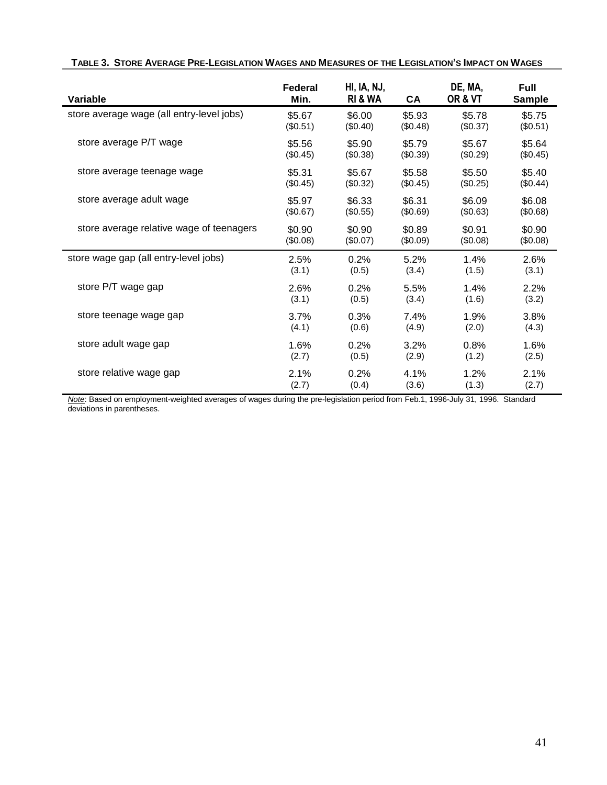| Variable                                  | Federal<br>Min. | HI, IA, NJ,<br><b>RI &amp; WA</b> | CA       | DE, MA,<br>OR & VT | <b>Full</b><br><b>Sample</b> |
|-------------------------------------------|-----------------|-----------------------------------|----------|--------------------|------------------------------|
| store average wage (all entry-level jobs) | \$5.67          | \$6.00                            | \$5.93   | \$5.78             | \$5.75                       |
|                                           | (\$0.51)        | (S0.40)                           | (\$0.48) | (\$0.37)           | (\$0.51)                     |
| store average P/T wage                    | \$5.56          | \$5.90                            | \$5.79   | \$5.67             | \$5.64                       |
|                                           | (\$0.45)        | (S0.38)                           | (\$0.39) | (\$0.29)           | (\$0.45)                     |
| store average teenage wage                | \$5.31          | \$5.67                            | \$5.58   | \$5.50             | \$5.40                       |
|                                           | (\$0.45)        | (\$0.32)                          | (\$0.45) | (\$0.25)           | (\$0.44)                     |
| store average adult wage                  | \$5.97          | \$6.33                            | \$6.31   | \$6.09             | \$6.08                       |
|                                           | (\$0.67)        | (\$0.55)                          | (\$0.69) | (\$0.63)           | (\$0.68)                     |
| store average relative wage of teenagers  | \$0.90          | \$0.90                            | \$0.89   | \$0.91             | \$0.90                       |
|                                           | (\$0.08)        | (S0.07)                           | (\$0.09) | (\$0.08)           | (\$0.08)                     |
| store wage gap (all entry-level jobs)     | 2.5%            | 0.2%                              | 5.2%     | 1.4%               | 2.6%                         |
|                                           | (3.1)           | (0.5)                             | (3.4)    | (1.5)              | (3.1)                        |
| store P/T wage gap                        | 2.6%            | 0.2%                              | 5.5%     | 1.4%               | 2.2%                         |
|                                           | (3.1)           | (0.5)                             | (3.4)    | (1.6)              | (3.2)                        |
| store teenage wage gap                    | 3.7%            | 0.3%                              | 7.4%     | 1.9%               | 3.8%                         |
|                                           | (4.1)           | (0.6)                             | (4.9)    | (2.0)              | (4.3)                        |
| store adult wage gap                      | 1.6%            | 0.2%                              | 3.2%     | 0.8%               | 1.6%                         |
|                                           | (2.7)           | (0.5)                             | (2.9)    | (1.2)              | (2.5)                        |
| store relative wage gap                   | 2.1%            | 0.2%                              | 4.1%     | 1.2%               | 2.1%                         |
|                                           | (2.7)           | (0.4)                             | (3.6)    | (1.3)              | (2.7)                        |

*Note*: Based on employment-weighted averages of wages during the pre-legislation period from Feb.1, 1996-July 31, 1996. Standard deviations in parentheses.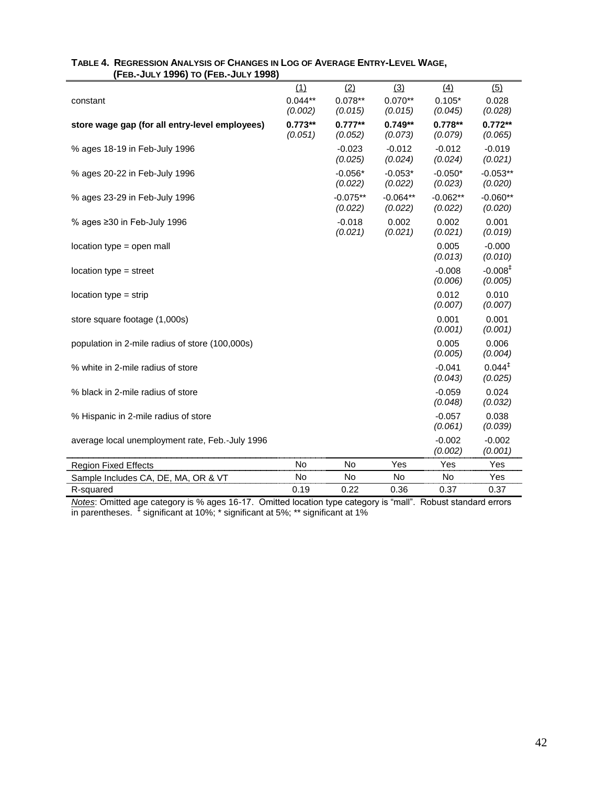|                                                 | (1)       | (2)        | (3)        | (4)        | (5)                |
|-------------------------------------------------|-----------|------------|------------|------------|--------------------|
| constant                                        | $0.044**$ | $0.078**$  | $0.070**$  | $0.105*$   | 0.028              |
|                                                 | (0.002)   | (0.015)    | (0.015)    | (0.045)    | (0.028)            |
| store wage gap (for all entry-level employees)  | $0.773**$ | $0.777**$  | $0.749**$  | $0.778**$  | $0.772**$          |
|                                                 | (0.051)   | (0.052)    | (0.073)    | (0.079)    | (0.065)            |
| % ages 18-19 in Feb-July 1996                   |           | $-0.023$   | $-0.012$   | $-0.012$   | $-0.019$           |
|                                                 |           | (0.025)    | (0.024)    | (0.024)    | (0.021)            |
| % ages 20-22 in Feb-July 1996                   |           | $-0.056*$  | $-0.053*$  | $-0.050*$  | $-0.053**$         |
|                                                 |           | (0.022)    | (0.022)    | (0.023)    | (0.020)            |
| % ages 23-29 in Feb-July 1996                   |           | $-0.075**$ | $-0.064**$ | $-0.062**$ | $-0.060**$         |
|                                                 |           | (0.022)    | (0.022)    | (0.022)    | (0.020)            |
| % ages $\geq$ 30 in Feb-July 1996               |           | $-0.018$   | 0.002      | 0.002      | 0.001              |
|                                                 |           | (0.021)    | (0.021)    | (0.021)    | (0.019)            |
| location type = open mall                       |           |            |            | 0.005      | $-0.000$           |
|                                                 |           |            |            | (0.013)    | (0.010)            |
| $location type = street$                        |           |            |            | $-0.008$   | $-0.008‡$          |
|                                                 |           |            |            | (0.006)    | (0.005)            |
| $location type = strip$                         |           |            |            | 0.012      | 0.010              |
|                                                 |           |            |            | (0.007)    | (0.007)            |
| store square footage (1,000s)                   |           |            |            | 0.001      | 0.001              |
|                                                 |           |            |            | (0.001)    | (0.001)            |
| population in 2-mile radius of store (100,000s) |           |            |            | 0.005      | 0.006              |
|                                                 |           |            |            | (0.005)    | (0.004)            |
| % white in 2-mile radius of store               |           |            |            | $-0.041$   | $0.044^{\ddagger}$ |
|                                                 |           |            |            | (0.043)    | (0.025)            |
| % black in 2-mile radius of store               |           |            |            | $-0.059$   | 0.024              |
|                                                 |           |            |            | (0.048)    | (0.032)            |
| % Hispanic in 2-mile radius of store            |           |            |            | $-0.057$   | 0.038              |
|                                                 |           |            |            | (0.061)    | (0.039)            |
| average local unemployment rate, Feb.-July 1996 |           |            |            | $-0.002$   | $-0.002$           |
|                                                 |           |            |            | (0.002)    | (0.001)            |
| <b>Region Fixed Effects</b>                     | No        | No         | Yes        | Yes        | Yes                |
| Sample Includes CA, DE, MA, OR & VT             | No        | No         | No         | No         | Yes                |
| R-squared                                       | 0.19      | 0.22       | 0.36       | 0.37       | 0.37               |

### **TABLE 4. REGRESSION ANALYSIS OF CHANGES IN LOG OF AVERAGE ENTRY-LEVEL WAGE, (FEB.-JULY 1996) TO (FEB.-JULY 1998)**

*Notes*: Omitted age category is % ages 16-17. Omitted location type category is "mall". Robust standard errors in parentheses. ‡ significant at 10%; \* significant at 5%; \*\* significant at 1%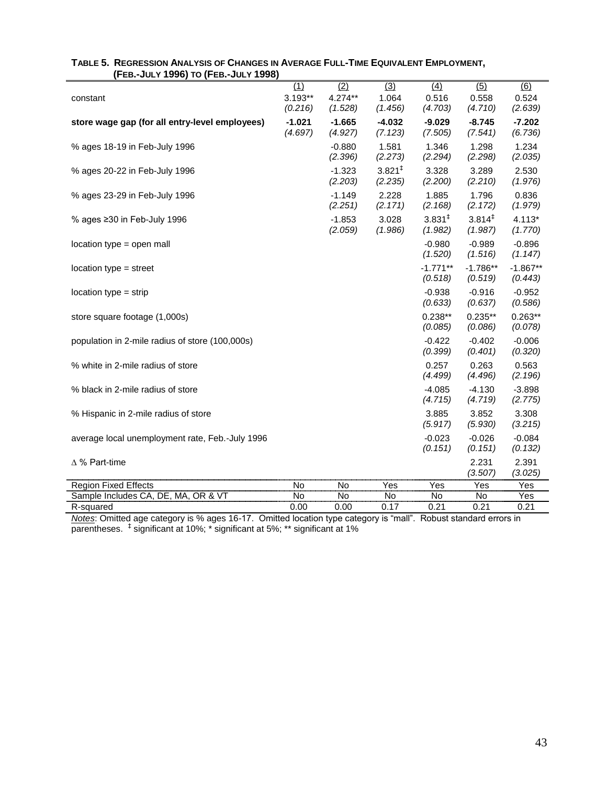| ED. JULI 1990) TO IT ED. JULI 1990              |                     |                     |                               |                               |                               |                           |
|-------------------------------------------------|---------------------|---------------------|-------------------------------|-------------------------------|-------------------------------|---------------------------|
| constant                                        | (1)<br>$3.193**$    | (2)<br>4.274**      | $\overline{(3)}$<br>1.064     | (4)<br>0.516                  | (5)<br>0.558                  | $\overline{(6)}$<br>0.524 |
|                                                 | (0.216)             | (1.528)             | (1.456)                       | (4.703)                       | (4.710)                       | (2.639)                   |
| store wage gap (for all entry-level employees)  | $-1.021$<br>(4.697) | $-1.665$<br>(4.927) | $-4.032$<br>(7.123)           | $-9.029$<br>(7.505)           | $-8.745$<br>(7.541)           | $-7.202$<br>(6.736)       |
| % ages 18-19 in Feb-July 1996                   |                     | $-0.880$<br>(2.396) | 1.581<br>(2.273)              | 1.346<br>(2.294)              | 1.298<br>(2.298)              | 1.234<br>(2.035)          |
| % ages 20-22 in Feb-July 1996                   |                     | $-1.323$<br>(2.203) | 3.821 <sup>‡</sup><br>(2.235) | 3.328<br>(2.200)              | 3.289<br>(2.210)              | 2.530<br>(1.976)          |
| % ages 23-29 in Feb-July 1996                   |                     | $-1.149$<br>(2.251) | 2.228<br>(2.171)              | 1.885<br>(2.168)              | 1.796<br>(2.172)              | 0.836<br>(1.979)          |
| % ages ≥30 in Feb-July 1996                     |                     | $-1.853$<br>(2.059) | 3.028<br>(1.986)              | 3.831 <sup>‡</sup><br>(1.982) | $3.814^{\ddagger}$<br>(1.987) | $4.113*$<br>(1.770)       |
| location type = open mall                       |                     |                     |                               | $-0.980$<br>(1.520)           | $-0.989$<br>(1.516)           | $-0.896$<br>(1.147)       |
| $location type = street$                        |                     |                     |                               | $-1.771**$<br>(0.518)         | $-1.786**$<br>(0.519)         | $-1.867**$<br>(0.443)     |
| $location type = strip$                         |                     |                     |                               | $-0.938$<br>(0.633)           | $-0.916$<br>(0.637)           | $-0.952$<br>(0.586)       |
| store square footage (1,000s)                   |                     |                     |                               | $0.238**$<br>(0.085)          | $0.235**$<br>(0.086)          | $0.263**$<br>(0.078)      |
| population in 2-mile radius of store (100,000s) |                     |                     |                               | $-0.422$<br>(0.399)           | $-0.402$<br>(0.401)           | $-0.006$<br>(0.320)       |
| % white in 2-mile radius of store               |                     |                     |                               | 0.257<br>(4.499)              | 0.263<br>(4.496)              | 0.563<br>(2.196)          |
| % black in 2-mile radius of store               |                     |                     |                               | $-4.085$<br>(4.715)           | $-4.130$<br>(4.719)           | $-3.898$<br>(2.775)       |
| % Hispanic in 2-mile radius of store            |                     |                     |                               | 3.885<br>(5.917)              | 3.852<br>(5.930)              | 3.308<br>(3.215)          |
| average local unemployment rate, Feb.-July 1996 |                     |                     |                               | $-0.023$<br>(0.151)           | $-0.026$<br>(0.151)           | $-0.084$<br>(0.132)       |
| $\Delta$ % Part-time                            |                     |                     |                               |                               | 2.231<br>(3.507)              | 2.391<br>(3.025)          |
| <b>Region Fixed Effects</b>                     | No                  | No                  | Yes                           | Yes                           | Yes                           | Yes                       |
| Sample Includes CA, DE, MA, OR & VT             | No                  | No                  | No                            | No                            | No                            | Yes                       |
| R-squared                                       | 0.00                | 0.00                | 0.17                          | 0.21                          | 0.21                          | 0.21                      |

### TABLE 5. REGRESSION ANALYSIS OF CHANGES IN AVERAGE FULL-TIME EQUIVALENT EMPLOYMENT,  **(FEB.-JULY 1996) TO (FEB.-JULY 1998)**

*Notes*: Omitted age category is % ages 16-17. Omitted location type category is "mall". Robust standard errors in parentheses. ‡ significant at 10%; \* significant at 5%; \*\* significant at 1%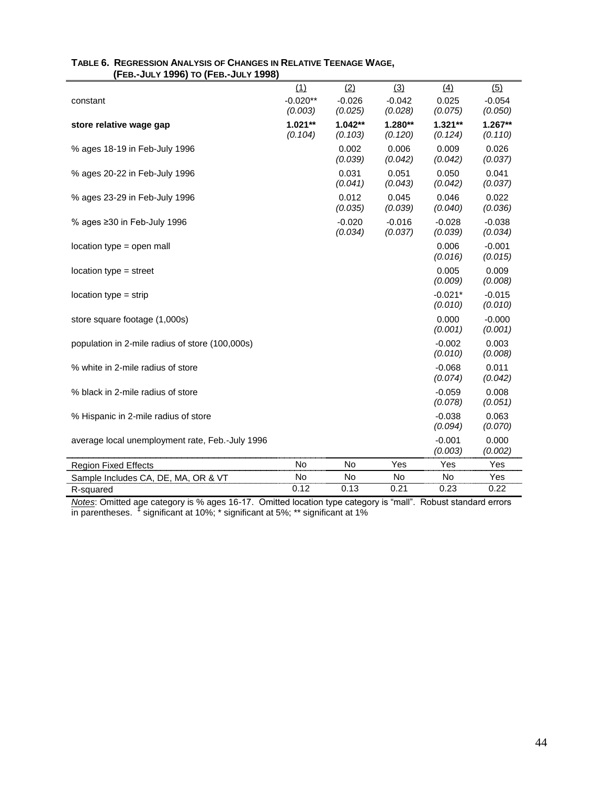| (FEB.WULI 1990) IO (FEB.WULI 1990)              |                      |                      |                     |                      |                     |
|-------------------------------------------------|----------------------|----------------------|---------------------|----------------------|---------------------|
| constant                                        | (1)<br>$-0.020**$    | (2)<br>$-0.026$      | (3)<br>$-0.042$     | (4)<br>0.025         | (5)<br>$-0.054$     |
|                                                 | (0.003)              | (0.025)              | (0.028)             | (0.075)              | (0.050)             |
| store relative wage gap                         | $1.021**$<br>(0.104) | $1.042**$<br>(0.103) | 1.280**<br>(0.120)  | $1.321**$<br>(0.124) | 1.267**<br>(0.110)  |
| % ages 18-19 in Feb-July 1996                   |                      | 0.002<br>(0.039)     | 0.006<br>(0.042)    | 0.009<br>(0.042)     | 0.026<br>(0.037)    |
| % ages 20-22 in Feb-July 1996                   |                      | 0.031<br>(0.041)     | 0.051<br>(0.043)    | 0.050<br>(0.042)     | 0.041<br>(0.037)    |
| % ages 23-29 in Feb-July 1996                   |                      | 0.012<br>(0.035)     | 0.045<br>(0.039)    | 0.046<br>(0.040)     | 0.022<br>(0.036)    |
| % ages $\geq$ 30 in Feb-July 1996               |                      | $-0.020$<br>(0.034)  | $-0.016$<br>(0.037) | $-0.028$<br>(0.039)  | $-0.038$<br>(0.034) |
| location type = open mall                       |                      |                      |                     | 0.006<br>(0.016)     | $-0.001$<br>(0.015) |
| $location type = street$                        |                      |                      |                     | 0.005<br>(0.009)     | 0.009<br>(0.008)    |
| $location type = strip$                         |                      |                      |                     | $-0.021*$<br>(0.010) | $-0.015$<br>(0.010) |
| store square footage (1,000s)                   |                      |                      |                     | 0.000<br>(0.001)     | $-0.000$<br>(0.001) |
| population in 2-mile radius of store (100,000s) |                      |                      |                     | $-0.002$<br>(0.010)  | 0.003<br>(0.008)    |
| % white in 2-mile radius of store               |                      |                      |                     | $-0.068$<br>(0.074)  | 0.011<br>(0.042)    |
| % black in 2-mile radius of store               |                      |                      |                     | $-0.059$<br>(0.078)  | 0.008<br>(0.051)    |
| % Hispanic in 2-mile radius of store            |                      |                      |                     | $-0.038$<br>(0.094)  | 0.063<br>(0.070)    |
| average local unemployment rate, Feb.-July 1996 |                      |                      |                     | $-0.001$<br>(0.003)  | 0.000<br>(0.002)    |
| <b>Region Fixed Effects</b>                     | <b>No</b>            | <b>No</b>            | Yes                 | Yes                  | Yes                 |
| Sample Includes CA, DE, MA, OR & VT             | No                   | No                   | No                  | No                   | Yes                 |
| R-squared                                       | 0.12                 | 0.13                 | 0.21                | 0.23                 | 0.22                |

### **TABLE 6. REGRESSION ANALYSIS OF CHANGES IN RELATIVE TEENAGE WAGE, (FEB.-JULY 1996) TO (FEB.-JULY 1998)**

*Notes*: Omitted age category is % ages 16-17. Omitted location type category is "mall". Robust standard errors in parentheses. ‡ significant at 10%; \* significant at 5%; \*\* significant at 1%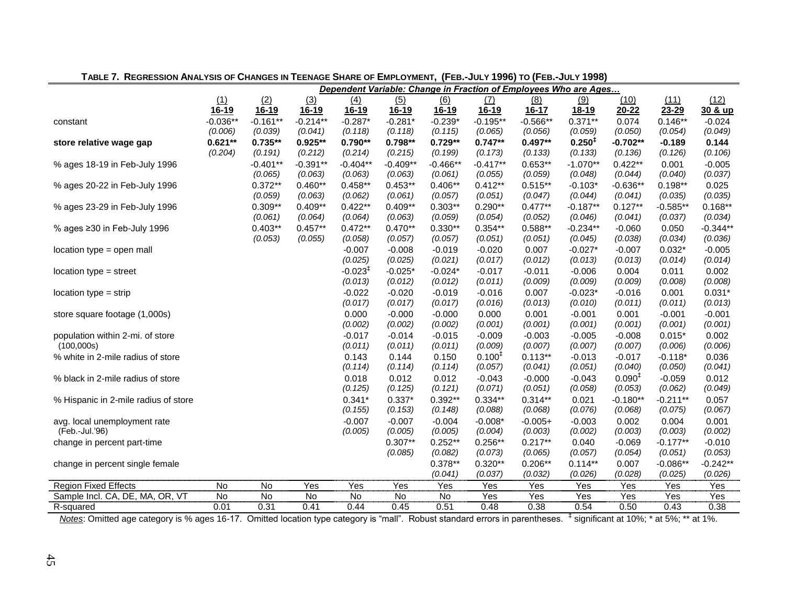|                                      |            |            |              |                       |              |            |                    | Dependent Variable: Change in Fraction of Employees Who are Ages |              |                    |            |            |
|--------------------------------------|------------|------------|--------------|-----------------------|--------------|------------|--------------------|------------------------------------------------------------------|--------------|--------------------|------------|------------|
|                                      | (1)        | (2)        | (3)          | (4)                   | (5)          | (6)        | $\Delta$           | (8)                                                              | (9)          | (10)               | (11)       | (12)       |
|                                      | 16-19      | $16-19$    | <u>16-19</u> | 16-19                 | <u>16-19</u> | $16 - 19$  | <u>16-19</u>       | $16 - 17$                                                        | <u>18-19</u> | $20 - 22$          | 23-29      | 30 & up    |
| constant                             | $-0.036**$ | $-0.161**$ | $-0.214**$   | $-0.287*$             | $-0.281*$    | $-0.239*$  | $-0.195**$         | $-0.566**$                                                       | $0.371**$    | 0.074              | $0.146**$  | $-0.024$   |
|                                      | (0.006)    | (0.039)    | (0.041)      | (0.118)               | (0.118)      | (0.115)    | (0.065)            | (0.056)                                                          | (0.059)      | (0.050)            | (0.054)    | (0.049)    |
| store relative wage gap              | $0.621**$  | $0.735**$  | $0.925**$    | $0.790**$             | $0.798**$    | $0.729**$  | $0.747**$          | $0.497**$                                                        | $0.250^{+}$  | $-0.702**$         | $-0.189$   | 0.144      |
|                                      | (0.204)    | (0.191)    | (0.212)      | (0.214)               | (0.215)      | (0.199)    | (0.173)            | (0.133)                                                          | (0.133)      | (0.136)            | (0.126)    | (0.106)    |
| % ages 18-19 in Feb-July 1996        |            | $-0.401**$ | $-0.391**$   | $-0.404**$            | $-0.409**$   | $-0.466**$ | $-0.417**$         | $0.653**$                                                        | $-1.070**$   | $0.422**$          | 0.001      | $-0.005$   |
|                                      |            | (0.065)    | (0.063)      | (0.063)               | (0.063)      | (0.061)    | (0.055)            | (0.059)                                                          | (0.048)      | (0.044)            | (0.040)    | (0.037)    |
| % ages 20-22 in Feb-July 1996        |            | $0.372**$  | $0.460**$    | $0.458**$             | $0.453**$    | $0.406**$  | $0.412**$          | $0.515**$                                                        | $-0.103*$    | $-0.636**$         | $0.198**$  | 0.025      |
|                                      |            | (0.059)    | (0.063)      | (0.062)               | (0.061)      | (0.057)    | (0.051)            | (0.047)                                                          | (0.044)      | (0.041)            | (0.035)    | (0.035)    |
| % ages 23-29 in Feb-July 1996        |            | $0.309**$  | $0.409**$    | $0.422**$             | $0.409**$    | $0.303**$  | $0.290**$          | $0.477**$                                                        | $-0.187**$   | $0.127**$          | $-0.585**$ | $0.168**$  |
|                                      |            | (0.061)    | (0.064)      | (0.064)               | (0.063)      | (0.059)    | (0.054)            | (0.052)                                                          | (0.046)      | (0.041)            | (0.037)    | (0.034)    |
| % ages ≥30 in Feb-July 1996          |            | $0.403**$  | $0.457**$    | $0.472**$             | $0.470**$    | $0.330**$  | $0.354**$          | $0.588**$                                                        | $-0.234**$   | $-0.060$           | 0.050      | $-0.344**$ |
|                                      |            | (0.053)    | (0.055)      | (0.058)               | (0.057)      | (0.057)    | (0.051)            | (0.051)                                                          | (0.045)      | (0.038)            | (0.034)    | (0.036)    |
| location type = open mall            |            |            |              | $-0.007$              | $-0.008$     | $-0.019$   | $-0.020$           | 0.007                                                            | $-0.027*$    | $-0.007$           | $0.032*$   | $-0.005$   |
|                                      |            |            |              | (0.025)               | (0.025)      | (0.021)    | (0.017)            | (0.012)                                                          | (0.013)      | (0.013)            | (0.014)    | (0.014)    |
| $location type = street$             |            |            |              | $-0.023$ <sup>‡</sup> | $-0.025*$    | $-0.024*$  | $-0.017$           | $-0.011$                                                         | $-0.006$     | 0.004              | 0.011      | 0.002      |
|                                      |            |            |              | (0.013)               | (0.012)      | (0.012)    | (0.011)            | (0.009)                                                          | (0.009)      | (0.009)            | (0.008)    | (0.008)    |
| $location type = strip$              |            |            |              | $-0.022$              | $-0.020$     | $-0.019$   | $-0.016$           | 0.007                                                            | $-0.023*$    | $-0.016$           | 0.001      | $0.031*$   |
|                                      |            |            |              | (0.017)               | (0.017)      | (0.017)    | (0.016)            | (0.013)                                                          | (0.010)      | (0.011)            | (0.011)    | (0.013)    |
| store square footage (1,000s)        |            |            |              | 0.000                 | $-0.000$     | $-0.000$   | 0.000              | 0.001                                                            | $-0.001$     | 0.001              | $-0.001$   | $-0.001$   |
|                                      |            |            |              | (0.002)               | (0.002)      | (0.002)    | (0.001)            | (0.001)                                                          | (0.001)      | (0.001)            | (0.001)    | (0.001)    |
| population within 2-mi. of store     |            |            |              | $-0.017$              | $-0.014$     | $-0.015$   | $-0.009$           | $-0.003$                                                         | $-0.005$     | $-0.008$           | $0.015*$   | 0.002      |
| (100,000s)                           |            |            |              | (0.011)               | (0.011)      | (0.011)    | (0.009)            | (0.007)                                                          | (0.007)      | (0.007)            | (0.006)    | (0.006)    |
| % white in 2-mile radius of store    |            |            |              | 0.143                 | 0.144        | 0.150      | 0.100 <sup>‡</sup> | $0.113**$                                                        | $-0.013$     | $-0.017$           | $-0.118*$  | 0.036      |
|                                      |            |            |              | (0.114)               | (0.114)      | (0.114)    | (0.057)            | (0.041)                                                          | (0.051)      | (0.040)            | (0.050)    | (0.041)    |
| % black in 2-mile radius of store    |            |            |              | 0.018                 | 0.012        | 0.012      | $-0.043$           | $-0.000$                                                         | $-0.043$     | 0.090 <sup>‡</sup> | $-0.059$   | 0.012      |
|                                      |            |            |              | (0.125)               | (0.125)      | (0.121)    | (0.071)            | (0.051)                                                          | (0.058)      | (0.053)            | (0.062)    | (0.049)    |
| % Hispanic in 2-mile radius of store |            |            |              | $0.341*$              | $0.337*$     | $0.392**$  | $0.334**$          | $0.314**$                                                        | 0.021        | $-0.180**$         | $-0.211**$ | 0.057      |
|                                      |            |            |              | (0.155)               | (0.153)      | (0.148)    | (0.088)            | (0.068)                                                          | (0.076)      | (0.068)            | (0.075)    | (0.067)    |
| avg. local unemployment rate         |            |            |              | $-0.007$              | $-0.007$     | $-0.004$   | $-0.008*$          | $-0.005+$                                                        | $-0.003$     | 0.002              | 0.004      | 0.001      |
| (Feb.-Jul.'96)                       |            |            |              | (0.005)               | (0.005)      | (0.005)    | (0.004)            | (0.003)                                                          | (0.002)      | (0.003)            | (0.003)    | (0.002)    |
| change in percent part-time          |            |            |              |                       | $0.307**$    | $0.252**$  | $0.256**$          | $0.217**$                                                        | 0.040        | $-0.069$           | $-0.177**$ | $-0.010$   |
|                                      |            |            |              |                       | (0.085)      | (0.082)    | (0.073)            | (0.065)                                                          | (0.057)      | (0.054)            | (0.051)    | (0.053)    |
| change in percent single female      |            |            |              |                       |              | $0.378**$  | $0.320**$          | $0.206**$                                                        | $0.114**$    | 0.007              | $-0.086**$ | $-0.242**$ |
|                                      |            |            |              |                       |              | (0.041)    | (0.037)            | (0.032)                                                          | (0.026)      | (0.028)            | (0.025)    | (0.026)    |
| <b>Region Fixed Effects</b>          | No         | No         | Yes          | Yes                   | Yes          | Yes        | Yes                | Yes                                                              | Yes          | Yes                | Yes        | Yes        |
| Sample Incl. CA, DE, MA, OR, VT      | No         | No         | No           | No                    | No           | No         | Yes                | Yes                                                              | Yes          | Yes                | Yes        | Yes        |
| R-squared                            | 0.01       | 0.31       | 0.41         | 0.44                  | 0.45         | 0.51       | 0.48               | 0.38                                                             | 0.54         | 0.50               | 0.43       | 0.38       |

## TABLE 7. REGRESSION ANALYSIS OF CHANGES IN TEENAGE SHARE OF EMPLOYMENT, (FEB.-JULY 1996) TO (FEB.-JULY 1998)

Notes: Omitted age category is % ages 16-17. Omitted location type category is "mall". Robust standard errors in parentheses. <sup>‡</sup> significant at 10%; \* at 5%; \*\* at 1%.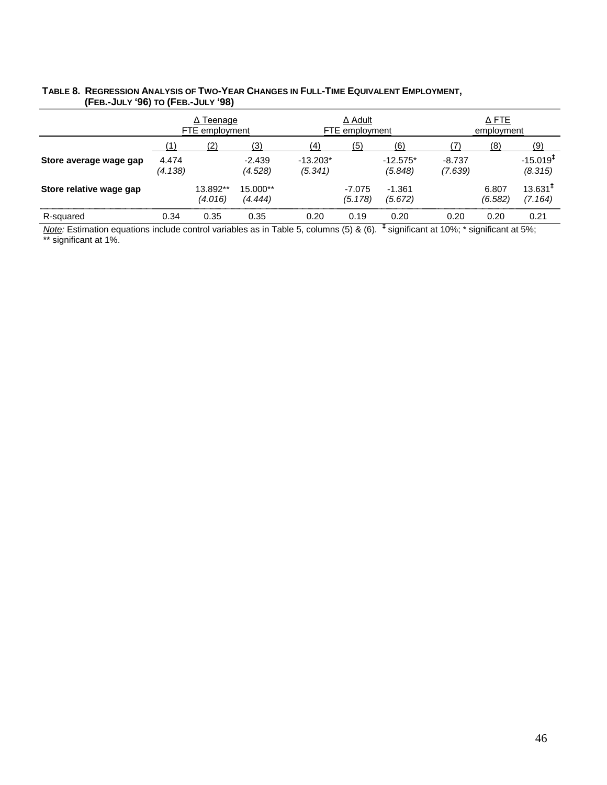# TABLE 8. REGRESSION ANALYSIS OF TWO-YEAR CHANGES IN FULL-TIME EQUIVALENT EMPLOYMENT,  **(FEB.-JULY '96) TO (FEB.-JULY '98)**

|                         | ∆ Teenage<br>FTE employment |                     |                     |                       | $\Delta$ Adult<br>FTE employment |                       | $\Delta$ FTE<br>employment |                  |                                   |  |
|-------------------------|-----------------------------|---------------------|---------------------|-----------------------|----------------------------------|-----------------------|----------------------------|------------------|-----------------------------------|--|
|                         |                             | (2)                 | (3)                 | (4)                   | (5)                              | (6)                   |                            | (8)              | (9)                               |  |
| Store average wage gap  | 4.474<br>(4.138)            |                     | $-2.439$<br>(4.528) | $-13.203*$<br>(5.341) |                                  | $-12.575*$<br>(5.848) | $-8.737$<br>(7.639)        |                  | $-15.019$ <sup>T</sup><br>(8.315) |  |
| Store relative wage gap |                             | 13.892**<br>(4.016) | 15.000**<br>(4.444) |                       | -7.075<br>(5.178)                | $-1.361$<br>(5.672)   |                            | 6.807<br>(6.582) | $13.631$ <sup>T</sup><br>(7.164)  |  |
| R-squared               | 0.34                        | 0.35                | 0.35                | 0.20                  | 0.19                             | 0.20                  | 0.20                       | 0.20             | 0.21                              |  |

*Note:* Estimation equations include control variables as in Table 5, columns (5) & (6). **‡** significant at 10%; \* significant at 5%; \*\* significant at 1%.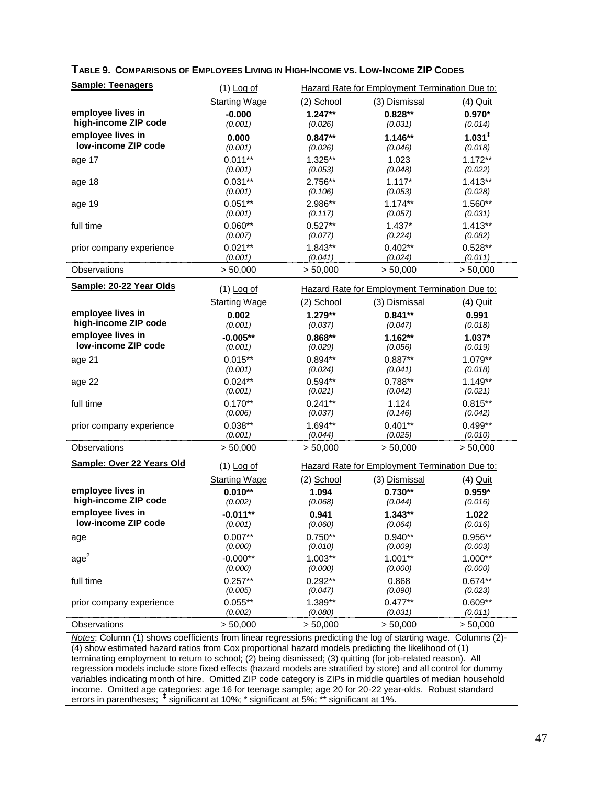| <b>Sample: Teenagers</b>                                                                                                      | $(1)$ Log of          | Hazard Rate for Employment Termination Due to: |                                                |                      |  |  |  |
|-------------------------------------------------------------------------------------------------------------------------------|-----------------------|------------------------------------------------|------------------------------------------------|----------------------|--|--|--|
|                                                                                                                               | <b>Starting Wage</b>  | $(2)$ School                                   | (3) Dismissal                                  | (4) Quit             |  |  |  |
| employee lives in                                                                                                             | $-0.000$              | $1.247**$                                      | $0.828**$                                      | $0.970*$             |  |  |  |
| high-income ZIP code                                                                                                          | (0.001)               | (0.026)                                        | (0.031)                                        | (0.014)              |  |  |  |
| employee lives in                                                                                                             | 0.000                 | $0.847**$                                      | $1.146**$                                      | 1.031 <sup>‡</sup>   |  |  |  |
| low-income ZIP code                                                                                                           | (0.001)               | (0.026)                                        | (0.046)                                        | (0.018)              |  |  |  |
| age 17                                                                                                                        | $0.011**$             | 1.325**                                        | 1.023                                          | $1.172**$            |  |  |  |
|                                                                                                                               | (0.001)               | (0.053)                                        | (0.048)                                        | (0.022)              |  |  |  |
| age 18                                                                                                                        | $0.031**$             | 2.756**                                        | $1.117*$                                       | $1.413**$            |  |  |  |
|                                                                                                                               | (0.001)<br>$0.051**$  | (0.106)<br>2.986**                             | (0.053)<br>$1.174**$                           | (0.028)              |  |  |  |
| age 19                                                                                                                        | (0.001)               | (0.117)                                        | (0.057)                                        | 1.560**<br>(0.031)   |  |  |  |
| full time                                                                                                                     | $0.060**$             | $0.527**$                                      | $1.437*$                                       | $1.413**$            |  |  |  |
|                                                                                                                               | (0.007)               | (0.077)                                        | (0.224)                                        | (0.082)              |  |  |  |
| prior company experience                                                                                                      | $0.021**$             | 1.843**                                        | $0.402**$                                      | $0.528**$            |  |  |  |
|                                                                                                                               | (0.001)               | (0.041)                                        | (0.024)                                        | (0.011)              |  |  |  |
| Observations                                                                                                                  | > 50,000              | > 50,000                                       | > 50,000                                       | > 50,000             |  |  |  |
| Sample: 20-22 Year Olds                                                                                                       | $(1)$ Log of          |                                                | Hazard Rate for Employment Termination Due to: |                      |  |  |  |
|                                                                                                                               | <b>Starting Wage</b>  | $(2)$ School                                   | (3) Dismissal                                  | $(4)$ Quit           |  |  |  |
| employee lives in                                                                                                             | 0.002                 | $1.279**$                                      | $0.841**$                                      | 0.991                |  |  |  |
| high-income ZIP code                                                                                                          | (0.001)               | (0.037)                                        | (0.047)                                        | (0.018)              |  |  |  |
| employee lives in<br>low-income ZIP code                                                                                      | $-0.005**$<br>(0.001) | $0.868**$<br>(0.029)                           | $1.162**$<br>(0.056)                           | $1.037*$<br>(0.019)  |  |  |  |
| age 21                                                                                                                        | $0.015**$             | $0.894**$                                      | $0.887**$                                      | 1.079**              |  |  |  |
|                                                                                                                               | (0.001)               | (0.024)                                        | (0.041)                                        | (0.018)              |  |  |  |
| age 22                                                                                                                        | $0.024**$             | $0.594**$                                      | $0.788**$                                      | $1.149**$            |  |  |  |
|                                                                                                                               | (0.001)               | (0.021)                                        | (0.042)                                        | (0.021)              |  |  |  |
| full time                                                                                                                     | $0.170**$             | $0.241**$                                      | 1.124                                          | $0.815**$            |  |  |  |
|                                                                                                                               | (0.006)               | (0.037)                                        | (0.146)                                        | (0.042)              |  |  |  |
| prior company experience                                                                                                      | $0.038**$<br>(0.001)  | 1.694**<br>(0.044)                             | $0.401**$<br>(0.025)                           | $0.499**$<br>(0.010) |  |  |  |
| Observations                                                                                                                  | > 50,000              | > 50,000                                       | > 50,000                                       | > 50,000             |  |  |  |
| Sample: Over 22 Years Old                                                                                                     |                       |                                                |                                                |                      |  |  |  |
|                                                                                                                               | $(1)$ Log of          |                                                | Hazard Rate for Employment Termination Due to: |                      |  |  |  |
|                                                                                                                               | <b>Starting Wage</b>  | (2) School                                     | (3) Dismissal                                  | $(4)$ Quit           |  |  |  |
| employee lives in<br>high-income ZIP code                                                                                     | $0.010**$             | 1.094                                          | $0.730**$                                      | $0.959*$             |  |  |  |
| employee lives in                                                                                                             | (0.002)               | (0.068)                                        | (0.044)                                        | (0.016)              |  |  |  |
| <b>Iow-income ZIP code</b>                                                                                                    | $-0.011**$<br>(0.001) | 0.941<br>(0.060)                               | $1.343**$<br>(0.064)                           | 1.022<br>(0.016)     |  |  |  |
| age                                                                                                                           | $0.007**$             | $0.750**$                                      | $0.940**$                                      | 0.956**              |  |  |  |
|                                                                                                                               | (0.000)               | (0.010)                                        | (0.009)                                        | (0.003)              |  |  |  |
| age <sup>2</sup>                                                                                                              | $-0.000**$            | $1.003**$                                      | $1.001**$                                      | $1.000**$            |  |  |  |
|                                                                                                                               | (0.000)               | (0.000)                                        | (0.000)                                        | (0.000)              |  |  |  |
| full time                                                                                                                     | $0.257**$             | $0.292**$                                      | 0.868                                          | $0.674**$            |  |  |  |
|                                                                                                                               | (0.005)               | (0.047)                                        | (0.090)                                        | (0.023)              |  |  |  |
| prior company experience                                                                                                      | $0.055**$             | 1.389**                                        | $0.477**$                                      | $0.609**$            |  |  |  |
|                                                                                                                               | (0.002)               | (0.080)                                        | (0.031)                                        | (0.011)              |  |  |  |
| Observations<br>$Mots$ Column (1) shows coefficients from linear regressions predicting the log of starting wage. Columns (2) | > 50,000              | > 50,000                                       | > 50,000                                       | > 50,000             |  |  |  |

| TABLE 9. COMPARISONS OF EMPLOYEES LIVING IN HIGH-INCOME VS. LOW-INCOME ZIP CODES |  |
|----------------------------------------------------------------------------------|--|
|----------------------------------------------------------------------------------|--|

*Notes*: Column (1) shows coefficients from linear regressions predicting the log of starting wage. Columns (2)- (4) show estimated hazard ratios from Cox proportional hazard models predicting the likelihood of (1) terminating employment to return to school; (2) being dismissed; (3) quitting (for job-related reason). All regression models include store fixed effects (hazard models are stratified by store) and all control for dummy variables indicating month of hire. Omitted ZIP code category is ZIPs in middle quartiles of median household income. Omitted age categories: age 16 for teenage sample; age 20 for 20-22 year-olds. Robust standard errors in parentheses; **‡** significant at 10%; \* significant at 5%; \*\* significant at 1%.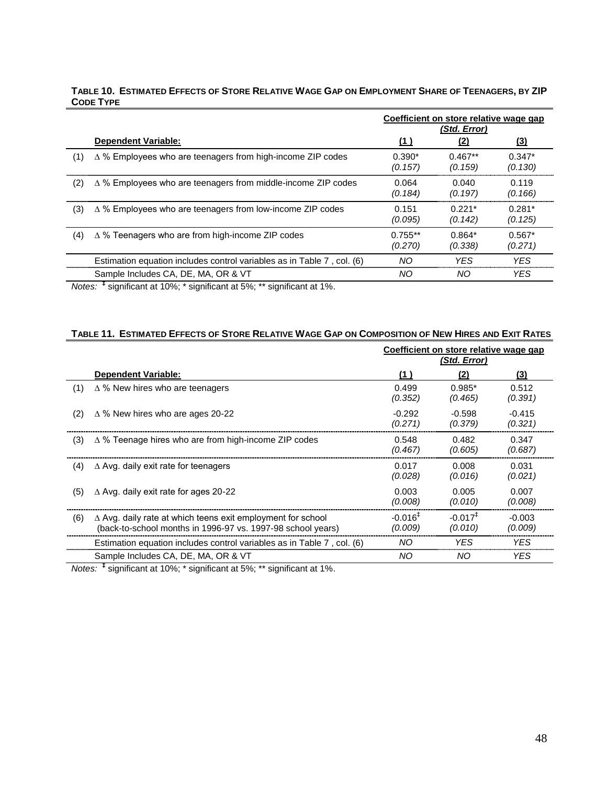### TABLE 10. ESTIMATED EFFECTS OF STORE RELATIVE WAGE GAP ON EMPLOYMENT SHARE OF TEENAGERS, BY ZIP **CODE TYPE**

|     |                                                                        |                      | Coefficient on store relative wage gap<br>(Std. Error) |                     |
|-----|------------------------------------------------------------------------|----------------------|--------------------------------------------------------|---------------------|
|     | <b>Dependent Variable:</b>                                             | <u>(1)</u>           | <u>(2)</u>                                             | <u>(3)</u>          |
| (1) | $\Delta$ % Employees who are teenagers from high-income ZIP codes      | $0.390*$<br>(0.157)  | $0.467**$<br>(0.159)                                   | $0.347*$<br>(0.130) |
| (2) | $\Delta$ % Employees who are teenagers from middle-income ZIP codes    | 0.064<br>(0.184)     | 0.040<br>(0.197)                                       | 0.119<br>(0.166)    |
| (3) | $\Delta$ % Employees who are teenagers from low-income ZIP codes       | 0.151<br>(0.095)     | $0.221*$<br>(0.142)                                    | $0.281*$<br>(0.125) |
| (4) | $\Delta$ % Teenagers who are from high-income ZIP codes                | $0.755**$<br>(0.270) | $0.864*$<br>(0.338)                                    | $0.567*$<br>(0.271) |
|     | Estimation equation includes control variables as in Table 7, col. (6) | NO.                  | <b>YFS</b>                                             | <b>YFS</b>          |
|     | Sample Includes CA, DE, MA, OR & VT                                    | NO.                  | NO.                                                    | YES                 |

*Notes:* **‡** significant at 10%; \* significant at 5%; \*\* significant at 1%.

# TABLE 11. ESTIMATED EFFECTS OF STORE RELATIVE WAGE GAP ON COMPOSITION OF NEW HIRES AND EXIT RATES

|     |                                                                                                                                   | Coefficient on store relative wage gap<br>(Std. Error) |                      |                     |
|-----|-----------------------------------------------------------------------------------------------------------------------------------|--------------------------------------------------------|----------------------|---------------------|
|     | <b>Dependent Variable:</b>                                                                                                        | (1)                                                    | (2)                  | (3)                 |
| (1) | $\Delta$ % New hires who are teenagers                                                                                            | 0.499<br>(0.352)                                       | $0.985*$<br>(0.465)  | 0.512<br>(0.391)    |
| (2) | $\Delta$ % New hires who are ages 20-22                                                                                           | $-0.292$<br>(0.271)                                    | $-0.598$<br>(0.379)  | $-0.415$<br>(0.321) |
| (3) | $\Delta$ % Teenage hires who are from high-income ZIP codes                                                                       | 0.548<br>(0.467)                                       | 0.482<br>(0.605)     | 0.347<br>(0.687)    |
| (4) | $\Delta$ Avg. daily exit rate for teenagers                                                                                       | 0.017<br>(0.028)                                       | 0.008<br>(0.016)     | 0.031<br>(0.021)    |
| (5) | $\Delta$ Avg. daily exit rate for ages 20-22                                                                                      | 0.003<br>(0.008)                                       | 0.005<br>(0.010)     | 0.007<br>(0.008)    |
| (6) | $\Delta$ Avg. daily rate at which teens exit employment for school<br>(back-to-school months in 1996-97 vs. 1997-98 school years) | $-0.016^+$<br>(0.009)                                  | $-0.0171$<br>(0.010) | $-0.003$<br>(0.009) |
|     | Estimation equation includes control variables as in Table 7, col. (6)                                                            | NO.                                                    | YES.                 | YES.                |
|     | Sample Includes CA, DE, MA, OR & VT                                                                                               | NO.                                                    | NO.                  | YES.                |

*Notes:* **‡** significant at 10%; \* significant at 5%; \*\* significant at 1%.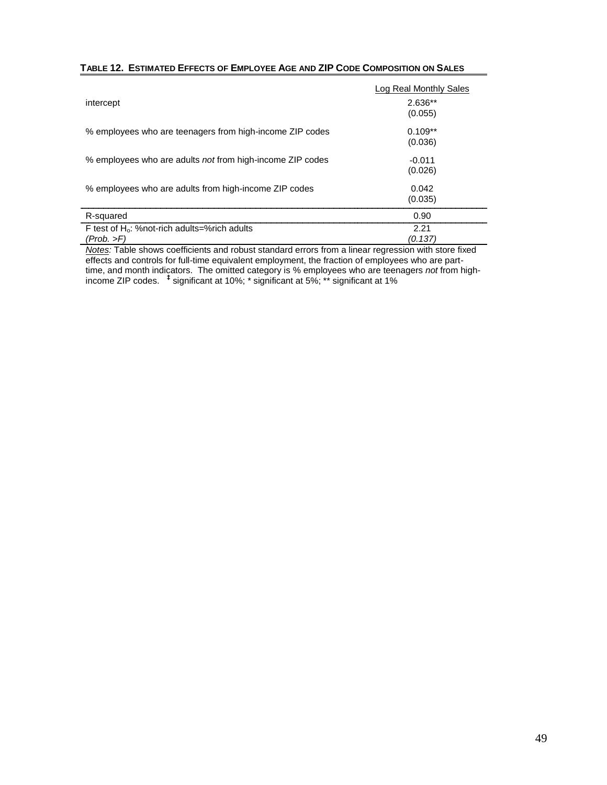### **TABLE 12. ESTIMATED EFFECTS OF EMPLOYEE AGE AND ZIP CODE COMPOSITION ON SALES**

|                                                           | Log Real Monthly Sales |
|-----------------------------------------------------------|------------------------|
| intercept                                                 | $2.636**$              |
|                                                           | (0.055)                |
| % employees who are teenagers from high-income ZIP codes  | $0.109**$              |
|                                                           | (0.036)                |
| % employees who are adults not from high-income ZIP codes | $-0.011$               |
|                                                           | (0.026)                |
| % employees who are adults from high-income ZIP codes     | 0.042                  |
|                                                           | (0.035)                |
| R-squared                                                 | 0.90                   |
| F test of H <sub>0</sub> : %not-rich adults=%rich adults  | 2.21                   |
| (Prob. >F)                                                | (0.137                 |

*Notes:* Table shows coefficients and robust standard errors from a linear regression with store fixed effects and controls for full-time equivalent employment, the fraction of employees who are parttime, and month indicators. The omitted category is % employees who are teenagers *not* from highincome ZIP codes. **‡** significant at 10%; \* significant at 5%; \*\* significant at 1%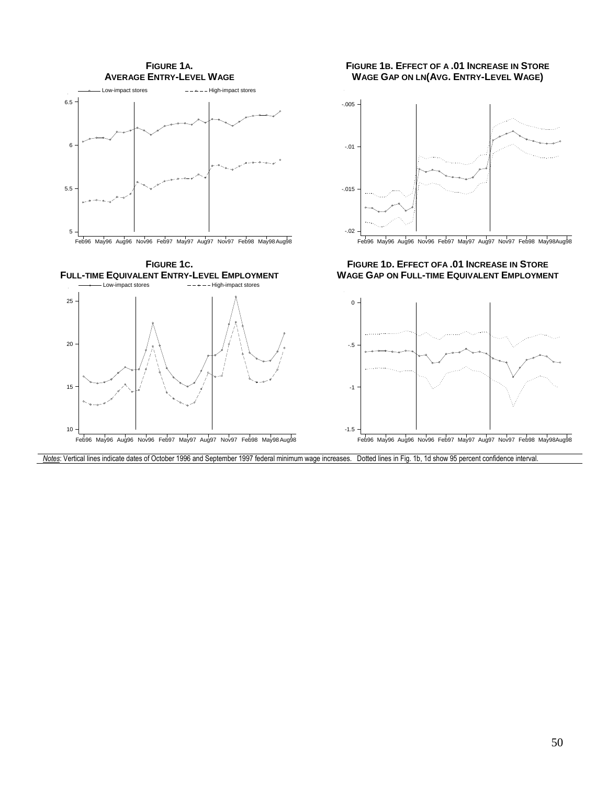

Feb96 May96 Aug96 Nov96 Feb97 May97 Aug97 Nov97 Feb98 May98Aug98

10

### **FIGURE 1B. EFFECT OF A .01 INCREASE IN STORE WAGE GAP ON LN(AVG. ENTRY-LEVEL WAGE)**



Feb96 May96 Aug96 Nov96 Feb97 May97 Aug97 Nov97 Feb98 May98Aug98

**FIGURE 1D. EFFECT OFA .01 INCREASE IN STORE WAGE GAP ON FULL-TIME EQUIVALENT EMPLOYMENT**



*Notes*: Vertical lines indicate dates of October 1996 and September 1997 federal minimum wage increases. Dotted lines in Fig. 1b, 1d show 95 percent confidence interval.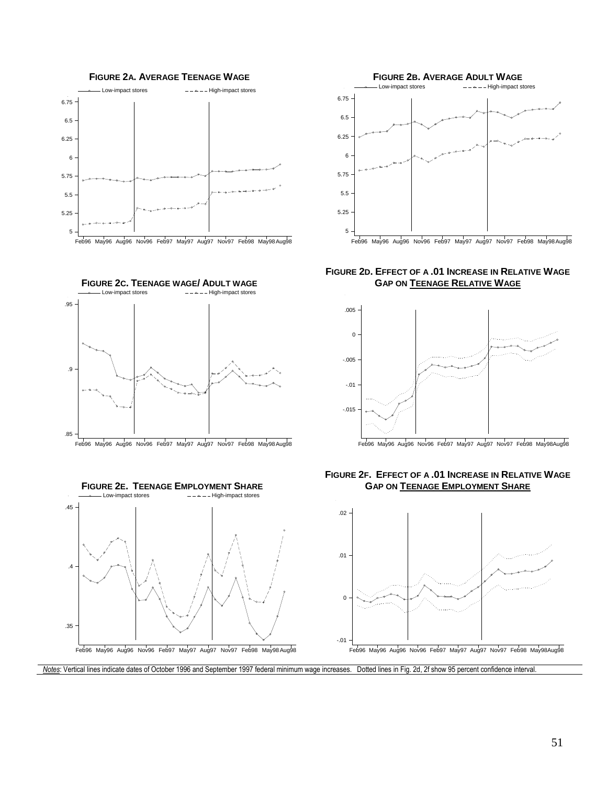

**FIGURE 2C. TEENAGE WAGE/ ADULT WAGE**<br>  $\begin{array}{r} \longrightarrow \text{Low-impact stores} \\ \hline \end{array}$ 







**FIGURE 2D. EFFECT OF A .01 INCREASE IN RELATIVE WAGE GAP ON TEENAGE RELATIVE WAGE**



Feb96 May96 Aug96 Nov96 Feb97 May97 Aug97 Nov97 Feb98 May98Aug98





*Notes*: Vertical lines indicate dates of October 1996 and September 1997 federal minimum wage increases. Dotted lines in Fig. 2d, 2f show 95 percent confidence interval.